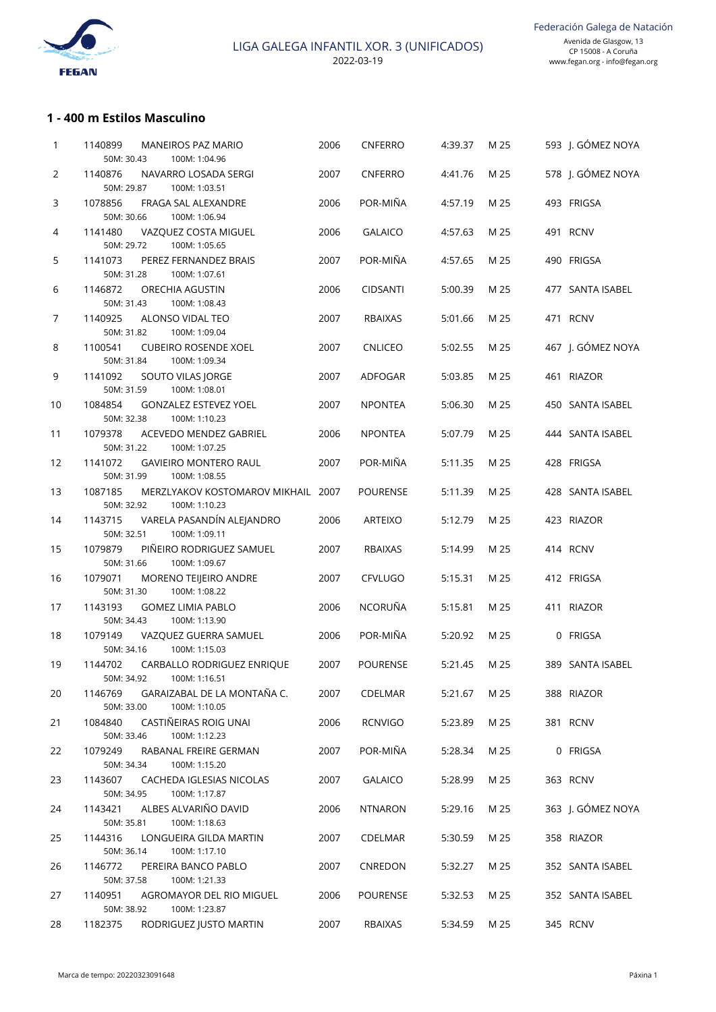

# **1 - 400 m Estilos Masculino**

| 1              | 1140899<br>50M: 30.43 | <b>MANEIROS PAZ MARIO</b><br>100M: 1:04.96                 | 2006 | <b>CNFERRO</b>  | 4:39.37 | M 25 | 593 J. GÓMEZ NOYA |
|----------------|-----------------------|------------------------------------------------------------|------|-----------------|---------|------|-------------------|
| 2              | 1140876<br>50M: 29.87 | NAVARRO LOSADA SERGI<br>100M: 1:03.51                      | 2007 | <b>CNFERRO</b>  | 4:41.76 | M 25 | 578 J. GÓMEZ NOYA |
| 3              | 1078856<br>50M: 30.66 | FRAGA SAL ALEXANDRE<br>100M: 1:06.94                       | 2006 | POR-MIÑA        | 4:57.19 | M 25 | 493 FRIGSA        |
| 4              | 1141480               | VAZQUEZ COSTA MIGUEL<br>100M: 1:05.65                      | 2006 | <b>GALAICO</b>  | 4:57.63 | M 25 | 491 RCNV          |
| 5              | 50M: 29.72<br>1141073 | PEREZ FERNANDEZ BRAIS                                      | 2007 | POR-MIÑA        | 4:57.65 | M 25 | 490 FRIGSA        |
| 6              | 50M: 31.28<br>1146872 | 100M: 1:07.61<br><b>ORECHIA AGUSTIN</b>                    | 2006 | <b>CIDSANTI</b> | 5:00.39 | M 25 | 477 SANTA ISABEL  |
| $\overline{7}$ | 50M: 31.43<br>1140925 | 100M: 1:08.43<br>ALONSO VIDAL TEO                          | 2007 | <b>RBAIXAS</b>  | 5:01.66 | M 25 | 471 RCNV          |
| 8              | 50M: 31.82<br>1100541 | 100M: 1:09.04<br><b>CUBEIRO ROSENDE XOEL</b>               | 2007 | <b>CNLICEO</b>  | 5:02.55 | M 25 | 467 J. GÓMEZ NOYA |
| 9              | 50M: 31.84<br>1141092 | 100M: 1:09.34<br>SOUTO VILAS JORGE                         | 2007 | ADFOGAR         | 5:03.85 | M 25 | 461 RIAZOR        |
| 10             | 50M: 31.59<br>1084854 | 100M: 1:08.01<br><b>GONZALEZ ESTEVEZ YOEL</b>              | 2007 | <b>NPONTEA</b>  | 5:06.30 | M 25 | 450 SANTA ISABEL  |
| 11             | 50M: 32.38<br>1079378 | 100M: 1:10.23<br>ACEVEDO MENDEZ GABRIEL                    | 2006 | <b>NPONTEA</b>  | 5:07.79 | M 25 | 444 SANTA ISABEL  |
| 12             | 50M: 31.22<br>1141072 | 100M: 1:07.25<br><b>GAVIEIRO MONTERO RAUL</b>              | 2007 | POR-MIÑA        | 5:11.35 | M 25 | 428 FRIGSA        |
| 13             | 50M: 31.99<br>1087185 | 100M: 1:08.55<br>MERZLYAKOV KOSTOMAROV MIKHAIL 2007        |      | <b>POURENSE</b> | 5:11.39 | M 25 | 428 SANTA ISABEL  |
| 14             | 50M: 32.92<br>1143715 | 100M: 1:10.23<br>VARELA PASANDÍN ALEJANDRO                 | 2006 | <b>ARTEIXO</b>  | 5:12.79 | M 25 | 423 RIAZOR        |
| 15             | 50M: 32.51<br>1079879 | 100M: 1:09.11<br>PIÑEIRO RODRIGUEZ SAMUEL                  | 2007 | <b>RBAIXAS</b>  | 5:14.99 | M 25 | 414 RCNV          |
| 16             | 50M: 31.66<br>1079071 | 100M: 1:09.67<br>MORENO TEIJEIRO ANDRE                     | 2007 | <b>CFVLUGO</b>  | 5:15.31 | M 25 | 412 FRIGSA        |
| 17             | 50M: 31.30<br>1143193 | 100M: 1:08.22<br><b>GOMEZ LIMIA PABLO</b>                  | 2006 | NCORUÑA         | 5:15.81 | M 25 | 411 RIAZOR        |
| 18             | 50M: 34.43<br>1079149 | 100M: 1:13.90<br>VAZQUEZ GUERRA SAMUEL                     | 2006 | POR-MIÑA        | 5:20.92 | M 25 | 0 FRIGSA          |
| 19             | 50M: 34.16<br>1144702 | 100M: 1:15.03<br>CARBALLO RODRIGUEZ ENRIQUE                | 2007 | <b>POURENSE</b> | 5:21.45 | M 25 | 389 SANTA ISABEL  |
| 20             | 1146769               | 50M: 34.92    100M: 1:16.51<br>GARAIZABAL DE LA MONTAÑA C. | 2007 | CDELMAR         | 5:21.67 | M 25 | 388 RIAZOR        |
| 21             | 50M: 33.00<br>1084840 | 100M: 1:10.05<br>CASTIÑEIRAS ROIG UNAI                     | 2006 | <b>RCNVIGO</b>  | 5:23.89 | M 25 | 381 RCNV          |
| 22             | 50M: 33.46<br>1079249 | 100M: 1:12.23<br>RABANAL FREIRE GERMAN                     | 2007 | POR-MIÑA        | 5:28.34 | M 25 | 0 FRIGSA          |
| 23             | 50M: 34.34<br>1143607 | 100M: 1:15.20<br>CACHEDA IGLESIAS NICOLAS                  | 2007 | <b>GALAICO</b>  | 5:28.99 | M 25 | 363 RCNV          |
| 24             | 50M: 34.95<br>1143421 | 100M: 1:17.87<br>ALBES ALVARIÑO DAVID                      | 2006 | <b>NTNARON</b>  | 5:29.16 | M 25 | 363 J. GÓMEZ NOYA |
|                | 50M: 35.81            | 100M: 1:18.63                                              |      |                 |         |      |                   |
| 25             | 1144316<br>50M: 36.14 | LONGUEIRA GILDA MARTIN<br>100M: 1:17.10                    | 2007 | CDELMAR         | 5:30.59 | M 25 | 358 RIAZOR        |
| 26             | 1146772<br>50M: 37.58 | PEREIRA BANCO PABLO<br>100M: 1:21.33                       | 2007 | CNREDON         | 5:32.27 | M 25 | 352 SANTA ISABEL  |
| 27             | 1140951<br>50M: 38.92 | AGROMAYOR DEL RIO MIGUEL<br>100M: 1:23.87                  | 2006 | <b>POURENSE</b> | 5:32.53 | M 25 | 352 SANTA ISABEL  |
| 28             | 1182375               | RODRIGUEZ JUSTO MARTIN                                     | 2007 | RBAIXAS         | 5:34.59 | M 25 | 345 RCNV          |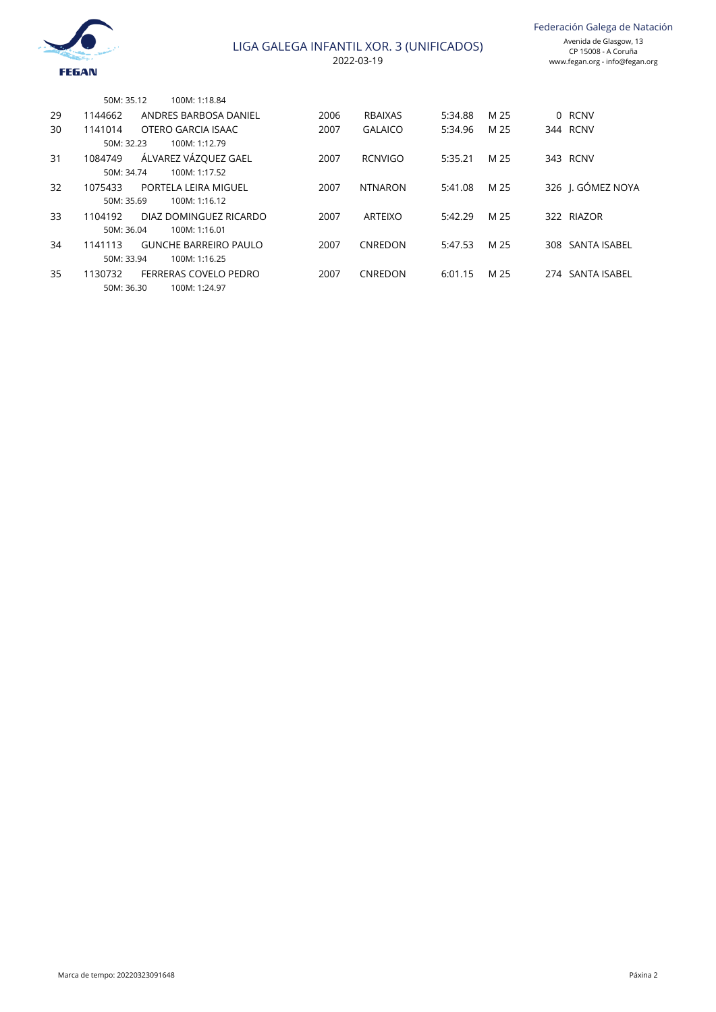

Federación Galega de Natación

|    | 50M: 35.12 | 100M: 1:18.84                |      |                |         |      |                   |
|----|------------|------------------------------|------|----------------|---------|------|-------------------|
| 29 | 1144662    | ANDRES BARBOSA DANIEL        | 2006 | RBAIXAS        | 5:34.88 | M 25 | 0 RCNV            |
| 30 | 1141014    | OTERO GARCIA ISAAC           | 2007 | <b>GALAICO</b> | 5:34.96 | M 25 | 344 RCNV          |
|    | 50M: 32.23 | 100M: 1:12.79                |      |                |         |      |                   |
| 31 | 1084749    | ÁLVAREZ VÁZQUEZ GAEL         | 2007 | <b>RCNVIGO</b> | 5:35.21 | M 25 | 343 RCNV          |
|    | 50M: 34.74 | 100M: 1:17.52                |      |                |         |      |                   |
| 32 | 1075433    | PORTELA LEIRA MIGUEL         | 2007 | <b>NTNARON</b> | 5:41.08 | M 25 | 326 I. GÓMEZ NOYA |
|    | 50M: 35.69 | 100M: 1:16.12                |      |                |         |      |                   |
| 33 | 1104192    | DIAZ DOMINGUEZ RICARDO       | 2007 | ARTEIXO        | 5:42.29 | M 25 | 322 RIAZOR        |
|    | 50M: 36.04 | 100M: 1:16.01                |      |                |         |      |                   |
| 34 | 1141113    | <b>GUNCHE BARREIRO PAULO</b> | 2007 | CNREDON        | 5:47.53 | M 25 | 308 SANTA ISABEL  |
|    | 50M: 33.94 | 100M: 1:16.25                |      |                |         |      |                   |
| 35 | 1130732    | FERRERAS COVELO PEDRO        | 2007 | CNREDON        | 6:01.15 | M 25 | 274 SANTA ISABEL  |
|    | 50M: 36.30 | 100M: 1:24.97                |      |                |         |      |                   |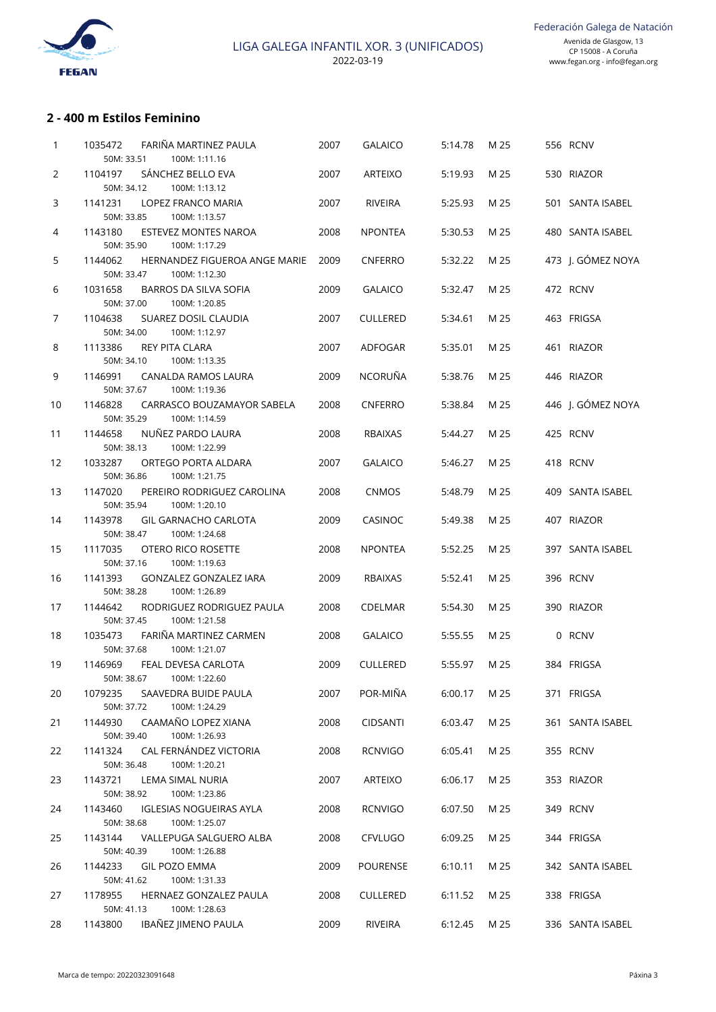

# **2 - 400 m Estilos Feminino**

| 1  | FARIÑA MARTINEZ PAULA<br>1035472<br>50M: 33.51<br>100M: 1:11.16          | 2007 | <b>GALAICO</b>  | 5:14.78 | M 25 | 556 RCNV          |
|----|--------------------------------------------------------------------------|------|-----------------|---------|------|-------------------|
| 2  | SÁNCHEZ BELLO EVA<br>1104197<br>50M: 34.12<br>100M: 1:13.12              | 2007 | ARTEIXO         | 5:19.93 | M 25 | 530 RIAZOR        |
| 3  | 1141231<br>LOPEZ FRANCO MARIA<br>50M: 33.85<br>100M: 1:13.57             | 2007 | RIVEIRA         | 5:25.93 | M 25 | 501 SANTA ISABEL  |
| 4  | 1143180<br>ESTEVEZ MONTES NAROA<br>50M: 35.90<br>100M: 1:17.29           | 2008 | <b>NPONTEA</b>  | 5:30.53 | M 25 | 480 SANTA ISABEL  |
| 5  | 1144062<br>HERNANDEZ FIGUEROA ANGE MARIE<br>50M: 33.47<br>100M: 1:12.30  | 2009 | <b>CNFERRO</b>  | 5:32.22 | M 25 | 473 J. GÓMEZ NOYA |
| 6  | 1031658<br>BARROS DA SILVA SOFIA<br>50M: 37.00<br>100M: 1:20.85          | 2009 | <b>GALAICO</b>  | 5:32.47 | M 25 | 472 RCNV          |
| 7  | 1104638<br>SUAREZ DOSIL CLAUDIA<br>50M: 34.00<br>100M: 1:12.97           | 2007 | <b>CULLERED</b> | 5:34.61 | M 25 | 463 FRIGSA        |
| 8  | 1113386<br><b>REY PITA CLARA</b><br>50M: 34.10<br>100M: 1:13.35          | 2007 | ADFOGAR         | 5:35.01 | M 25 | 461 RIAZOR        |
| 9  | 1146991<br>CANALDA RAMOS LAURA<br>50M: 37.67<br>100M: 1:19.36            | 2009 | <b>NCORUÑA</b>  | 5:38.76 | M 25 | 446 RIAZOR        |
| 10 | 1146828<br>CARRASCO BOUZAMAYOR SABELA<br>50M: 35.29<br>100M: 1:14.59     | 2008 | <b>CNFERRO</b>  | 5:38.84 | M 25 | 446 J. GÓMEZ NOYA |
| 11 | NUÑEZ PARDO LAURA<br>1144658<br>50M: 38.13<br>100M: 1:22.99              | 2008 | <b>RBAIXAS</b>  | 5:44.27 | M 25 | 425 RCNV          |
| 12 | 1033287<br>ORTEGO PORTA ALDARA<br>50M: 36.86<br>100M: 1:21.75            | 2007 | <b>GALAICO</b>  | 5:46.27 | M 25 | 418 RCNV          |
| 13 | 1147020<br>PEREIRO RODRIGUEZ CAROLINA<br>50M: 35.94<br>100M: 1:20.10     | 2008 | <b>CNMOS</b>    | 5:48.79 | M 25 | 409 SANTA ISABEL  |
| 14 | 1143978<br><b>GIL GARNACHO CARLOTA</b><br>50M: 38.47<br>100M: 1:24.68    | 2009 | <b>CASINOC</b>  | 5:49.38 | M 25 | 407 RIAZOR        |
| 15 | 1117035<br>OTERO RICO ROSETTE<br>50M: 37.16<br>100M: 1:19.63             | 2008 | <b>NPONTEA</b>  | 5:52.25 | M 25 | 397 SANTA ISABEL  |
| 16 | 1141393<br>GONZALEZ GONZALEZ IARA<br>50M: 38.28<br>100M: 1:26.89         | 2009 | <b>RBAIXAS</b>  | 5:52.41 | M 25 | 396 RCNV          |
| 17 | 1144642<br>RODRIGUEZ RODRIGUEZ PAULA<br>50M: 37.45<br>100M: 1:21.58      | 2008 | <b>CDELMAR</b>  | 5:54.30 | M 25 | 390 RIAZOR        |
| 18 | FARIÑA MARTINEZ CARMEN<br>1035473<br>50M: 37.68<br>100M: 1:21.07         | 2008 | <b>GALAICO</b>  | 5:55.55 | M 25 | 0 RCNV            |
| 19 | 1146969<br>FEAL DEVESA CARLOTA<br>50M: 38.67<br>100M: 1:22.60            | 2009 | <b>CULLERED</b> | 5:55.97 | M 25 | 384 FRIGSA        |
| 20 | SAAVEDRA BUIDE PAULA<br>1079235<br>50M: 37.72<br>100M: 1:24.29           | 2007 | POR-MIÑA        | 6:00.17 | M 25 | 371 FRIGSA        |
| 21 | CAAMAÑO LOPEZ XIANA<br>1144930<br>100M: 1:26.93<br>50M: 39.40            | 2008 | <b>CIDSANTI</b> | 6:03.47 | M 25 | 361 SANTA ISABEL  |
| 22 | CAL FERNÁNDEZ VICTORIA<br>1141324<br>50M: 36.48<br>100M: 1:20.21         | 2008 | <b>RCNVIGO</b>  | 6:05.41 | M 25 | 355 RCNV          |
| 23 | 1143721<br>LEMA SIMAL NURIA<br>50M: 38.92<br>100M: 1:23.86               | 2007 | ARTEIXO         | 6:06.17 | M 25 | 353 RIAZOR        |
| 24 | 1143460<br><b>IGLESIAS NOGUEIRAS AYLA</b><br>50M: 38.68<br>100M: 1:25.07 | 2008 | <b>RCNVIGO</b>  | 6:07.50 | M 25 | 349 RCNV          |
| 25 | VALLEPUGA SALGUERO ALBA<br>1143144<br>50M: 40.39<br>100M: 1:26.88        | 2008 | <b>CFVLUGO</b>  | 6:09.25 | M 25 | 344 FRIGSA        |
| 26 | 1144233<br><b>GIL POZO EMMA</b><br>50M: 41.62<br>100M: 1:31.33           | 2009 | <b>POURENSE</b> | 6:10.11 | M 25 | 342 SANTA ISABEL  |
| 27 | 1178955<br>HERNAEZ GONZALEZ PAULA<br>50M: 41.13<br>100M: 1:28.63         | 2008 | <b>CULLERED</b> | 6:11.52 | M 25 | 338 FRIGSA        |
| 28 | IBAÑEZ JIMENO PAULA<br>1143800                                           | 2009 | RIVEIRA         | 6:12.45 | M 25 | 336 SANTA ISABEL  |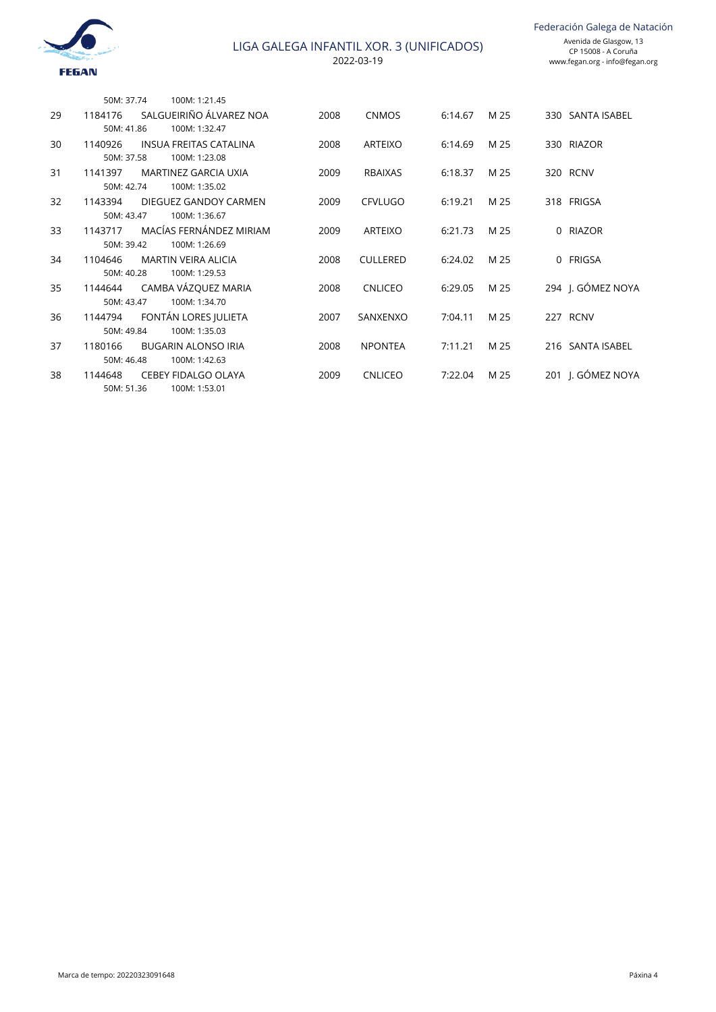

| JR. 3 (UNIFICADUS)<br>۱۹ | CP 15008 - A Coruña<br>www.fegan.org - info@fegan.org |
|--------------------------|-------------------------------------------------------|
|                          |                                                       |
|                          |                                                       |

|    | 50M: 37.74 | 100M: 1:21.45                 |      |                 |         |      |          |                   |
|----|------------|-------------------------------|------|-----------------|---------|------|----------|-------------------|
| 29 | 1184176    | SALGUEIRIÑO ÁLVAREZ NOA       | 2008 | <b>CNMOS</b>    | 6:14.67 | M 25 |          | 330 SANTA ISABEL  |
|    | 50M: 41.86 | 100M: 1:32.47                 |      |                 |         |      |          |                   |
| 30 | 1140926    | <b>INSUA FREITAS CATALINA</b> | 2008 | <b>ARTEIXO</b>  | 6:14.69 | M 25 |          | 330 RIAZOR        |
|    | 50M: 37.58 | 100M: 1:23.08                 |      |                 |         |      |          |                   |
| 31 | 1141397    | <b>MARTINEZ GARCIA UXIA</b>   | 2009 | <b>RBAIXAS</b>  | 6:18.37 | M 25 |          | 320 RCNV          |
|    | 50M: 42.74 | 100M: 1:35.02                 |      |                 |         |      |          |                   |
| 32 | 1143394    | DIEGUEZ GANDOY CARMEN         | 2009 | <b>CFVLUGO</b>  | 6:19.21 | M 25 |          | 318 FRIGSA        |
|    | 50M: 43.47 | 100M: 1:36.67                 |      |                 |         |      |          |                   |
| 33 | 1143717    | MACÍAS FERNÁNDEZ MIRIAM       | 2009 | <b>ARTEIXO</b>  | 6:21.73 | M 25 | $\Omega$ | <b>RIAZOR</b>     |
|    | 50M: 39.42 | 100M: 1:26.69                 |      |                 |         |      |          |                   |
| 34 | 1104646    | <b>MARTIN VEIRA ALICIA</b>    | 2008 | <b>CULLERED</b> | 6:24.02 | M 25 |          | 0 FRIGSA          |
|    | 50M: 40.28 | 100M: 1:29.53                 |      |                 |         |      |          |                   |
| 35 | 1144644    | CAMBA VÁZQUEZ MARIA           | 2008 | <b>CNLICEO</b>  | 6:29.05 | M 25 |          | 294 J. GÓMEZ NOYA |
|    | 50M: 43.47 | 100M: 1:34.70                 |      |                 |         |      |          |                   |
| 36 | 1144794    | FONTÁN LORES JULIETA          | 2007 | SANXENXO        | 7:04.11 | M 25 |          | 227 RCNV          |
|    | 50M: 49.84 | 100M: 1:35.03                 |      |                 |         |      |          |                   |
| 37 | 1180166    | <b>BUGARIN ALONSO IRIA</b>    | 2008 | <b>NPONTEA</b>  | 7:11.21 | M 25 |          | 216 SANTA ISABEL  |
|    | 50M: 46.48 | 100M: 1:42.63                 |      |                 |         |      |          |                   |
| 38 | 1144648    | <b>CEBEY FIDALGO OLAYA</b>    | 2009 | <b>CNLICEO</b>  | 7:22.04 | M 25 |          | 201 I. GÓMEZ NOYA |
|    | 50M: 51.36 | 100M: 1:53.01                 |      |                 |         |      |          |                   |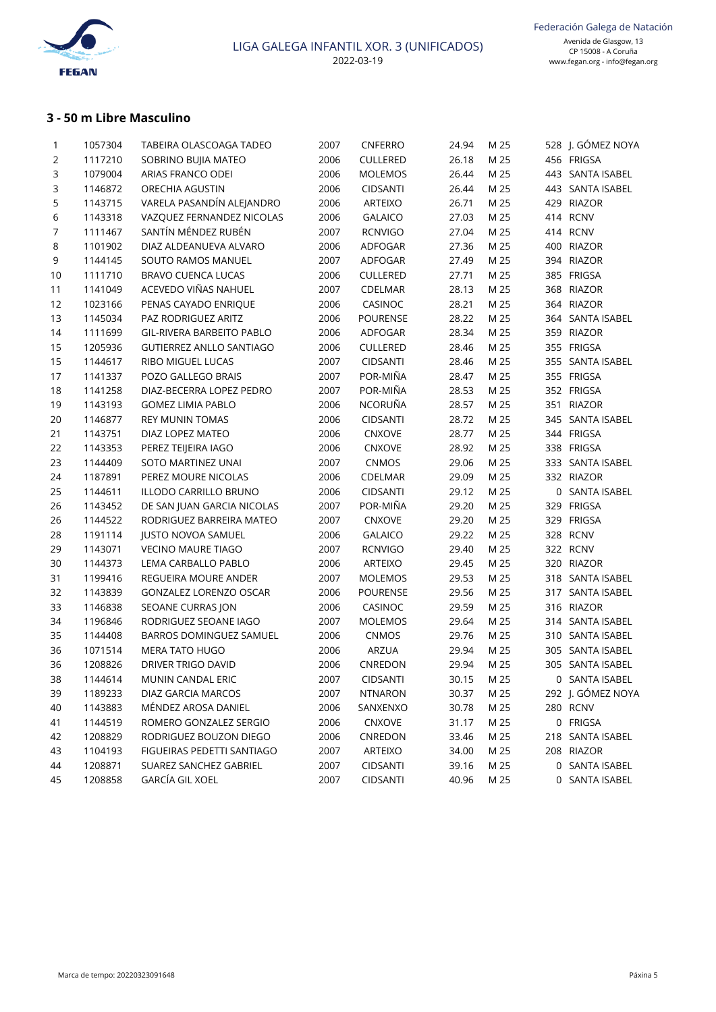

# **3 - 50 m Libre Masculino**

| 1              | 1057304 | TABEIRA OLASCOAGA TADEO          | 2007 | CNFERRO         | 24.94 | M 25 | 528 J. GÓMEZ NOYA |
|----------------|---------|----------------------------------|------|-----------------|-------|------|-------------------|
| 2              | 1117210 | SOBRINO BUJIA MATEO              | 2006 | CULLERED        | 26.18 | M 25 | 456 FRIGSA        |
| 3              | 1079004 | ARIAS FRANCO ODEI                | 2006 | <b>MOLEMOS</b>  | 26.44 | M 25 | 443 SANTA ISABEL  |
| 3              | 1146872 | ORECHIA AGUSTIN                  | 2006 | <b>CIDSANTI</b> | 26.44 | M 25 | 443 SANTA ISABEL  |
| 5              | 1143715 | VARELA PASANDÍN ALEJANDRO        | 2006 | ARTEIXO         | 26.71 | M 25 | 429 RIAZOR        |
| 6              | 1143318 | VAZQUEZ FERNANDEZ NICOLAS        | 2006 | <b>GALAICO</b>  | 27.03 | M 25 | 414 RCNV          |
| $\overline{7}$ | 1111467 | SANTÍN MÉNDEZ RUBÉN              | 2007 | <b>RCNVIGO</b>  | 27.04 | M 25 | 414 RCNV          |
| 8              | 1101902 | DIAZ ALDEANUEVA ALVARO           | 2006 | ADFOGAR         | 27.36 | M 25 | 400 RIAZOR        |
| 9              | 1144145 | SOUTO RAMOS MANUEL               | 2007 | ADFOGAR         | 27.49 | M 25 | 394 RIAZOR        |
| 10             | 1111710 | <b>BRAVO CUENCA LUCAS</b>        | 2006 | CULLERED        | 27.71 | M 25 | 385 FRIGSA        |
| 11             | 1141049 | ACEVEDO VIÑAS NAHUEL             | 2007 | CDELMAR         | 28.13 | M 25 | 368 RIAZOR        |
| 12             | 1023166 | PENAS CAYADO ENRIQUE             | 2006 | CASINOC         | 28.21 | M 25 | 364 RIAZOR        |
| 13             | 1145034 | PAZ RODRIGUEZ ARITZ              | 2006 | POURENSE        | 28.22 | M 25 | 364 SANTA ISABEL  |
| 14             | 1111699 | <b>GIL-RIVERA BARBEITO PABLO</b> | 2006 | ADFOGAR         | 28.34 | M 25 | 359 RIAZOR        |
| 15             | 1205936 | <b>GUTIERREZ ANLLO SANTIAGO</b>  | 2006 | CULLERED        | 28.46 | M 25 | 355 FRIGSA        |
| 15             | 1144617 | RIBO MIGUEL LUCAS                | 2007 | <b>CIDSANTI</b> | 28.46 | M 25 | 355 SANTA ISABEL  |
| 17             | 1141337 | POZO GALLEGO BRAIS               | 2007 | POR-MIÑA        | 28.47 | M 25 | 355 FRIGSA        |
| 18             | 1141258 | DIAZ-BECERRA LOPEZ PEDRO         | 2007 | POR-MIÑA        | 28.53 | M 25 | 352 FRIGSA        |
| 19             | 1143193 | <b>GOMEZ LIMIA PABLO</b>         | 2006 | NCORUÑA         | 28.57 | M 25 | 351 RIAZOR        |
| 20             | 1146877 | <b>REY MUNIN TOMAS</b>           | 2006 | <b>CIDSANTI</b> | 28.72 | M 25 | 345 SANTA ISABEL  |
| 21             | 1143751 | DIAZ LOPEZ MATEO                 | 2006 | CNXOVE          | 28.77 | M 25 | 344 FRIGSA        |
| 22             | 1143353 | PEREZ TEIJEIRA IAGO              | 2006 | CNXOVE          | 28.92 | M 25 | 338 FRIGSA        |
| 23             | 1144409 | SOTO MARTINEZ UNAI               | 2007 | CNMOS           | 29.06 | M 25 | 333 SANTA ISABEL  |
| 24             | 1187891 | PEREZ MOURE NICOLAS              | 2006 | CDELMAR         | 29.09 | M 25 | 332 RIAZOR        |
| 25             | 1144611 | ILLODO CARRILLO BRUNO            | 2006 | <b>CIDSANTI</b> | 29.12 | M 25 | 0 SANTA ISABEL    |
| 26             | 1143452 | DE SAN JUAN GARCIA NICOLAS       | 2007 | POR-MIÑA        | 29.20 | M 25 | 329 FRIGSA        |
| 26             | 1144522 | RODRIGUEZ BARREIRA MATEO         | 2007 | CNXOVE          | 29.20 | M 25 | 329 FRIGSA        |
| 28             | 1191114 | <b>JUSTO NOVOA SAMUEL</b>        | 2006 | <b>GALAICO</b>  | 29.22 | M 25 | 328 RCNV          |
| 29             | 1143071 | <b>VECINO MAURE TIAGO</b>        | 2007 | <b>RCNVIGO</b>  | 29.40 | M 25 | 322 RCNV          |
| 30             | 1144373 | LEMA CARBALLO PABLO              | 2006 | ARTEIXO         | 29.45 | M 25 | 320 RIAZOR        |
| 31             | 1199416 | REGUEIRA MOURE ANDER             | 2007 | <b>MOLEMOS</b>  | 29.53 | M 25 | 318 SANTA ISABEL  |
| 32             | 1143839 | GONZALEZ LORENZO OSCAR           | 2006 | POURENSE        | 29.56 | M 25 | 317 SANTA ISABEL  |
| 33             | 1146838 | SEOANE CURRAS JON                | 2006 | CASINOC         | 29.59 | M 25 | 316 RIAZOR        |
| 34             | 1196846 | RODRIGUEZ SEOANE IAGO            | 2007 | <b>MOLEMOS</b>  | 29.64 | M 25 | 314 SANTA ISABEL  |
| 35             | 1144408 | BARROS DOMINGUEZ SAMUEL          | 2006 | CNMOS           | 29.76 | M 25 | 310 SANTA ISABEL  |
| 36             | 1071514 | <b>MERA TATO HUGO</b>            | 2006 | ARZUA           | 29.94 | M 25 | 305 SANTA ISABEL  |
| 36             | 1208826 | DRIVER TRIGO DAVID               | 2006 | CNREDON         | 29.94 | M 25 | 305 SANTA ISABEL  |
| 38             | 1144614 | MUNIN CANDAL ERIC                | 2007 | CIDSANTI        | 30.15 | M 25 | 0 SANTA ISABEL    |
| 39             | 1189233 | DIAZ GARCIA MARCOS               | 2007 | <b>NTNARON</b>  | 30.37 | M 25 | 292 J. GÓMEZ NOYA |
| 40             | 1143883 | MÉNDEZ AROSA DANIEL              | 2006 | SANXENXO        | 30.78 | M 25 | 280 RCNV          |
| 41             | 1144519 | ROMERO GONZALEZ SERGIO           | 2006 | CNXOVE          | 31.17 | M 25 | 0 FRIGSA          |
| 42             | 1208829 | RODRIGUEZ BOUZON DIEGO           | 2006 | CNREDON         | 33.46 | M 25 | 218 SANTA ISABEL  |
| 43             | 1104193 | FIGUEIRAS PEDETTI SANTIAGO       | 2007 | ARTEIXO         | 34.00 | M 25 | 208 RIAZOR        |
| 44             | 1208871 | SUAREZ SANCHEZ GABRIEL           | 2007 | CIDSANTI        | 39.16 | M 25 | 0 SANTA ISABEL    |
| 45             | 1208858 | <b>GARCÍA GIL XOEL</b>           | 2007 | CIDSANTI        | 40.96 | M 25 | 0 SANTA ISABEL    |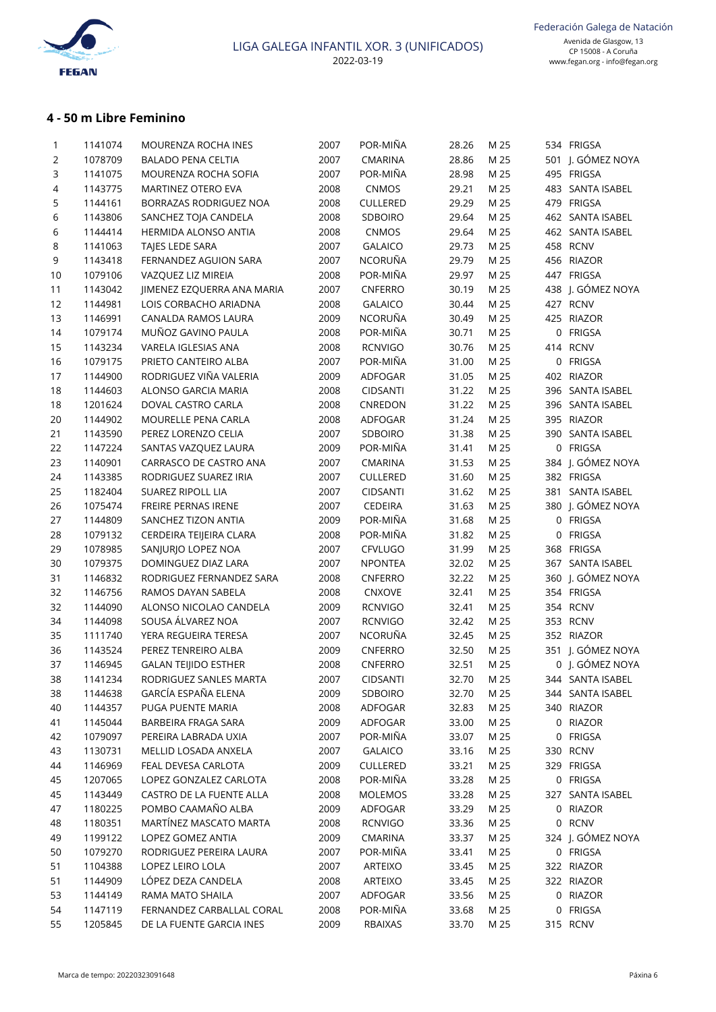

# **4 - 50 m Libre Feminino**

| $\mathbf{1}$ | 1141074 | MOURENZA ROCHA INES         | 2007 | POR-MIÑA        | 28.26      | M 25 | 534 FRIGSA        |
|--------------|---------|-----------------------------|------|-----------------|------------|------|-------------------|
| 2            | 1078709 | <b>BALADO PENA CELTIA</b>   | 2007 | <b>CMARINA</b>  | 28.86      | M 25 | 501 J. GÓMEZ NOYA |
| 3            | 1141075 | MOURENZA ROCHA SOFIA        | 2007 | POR-MIÑA        | 28.98      | M 25 | 495 FRIGSA        |
| 4            | 1143775 | MARTINEZ OTERO EVA          | 2008 | CNMOS           | 29.21      | M 25 | 483 SANTA ISABEL  |
| 5            | 1144161 | BORRAZAS RODRIGUEZ NOA      | 2008 | CULLERED        | 29.29      | M 25 | 479 FRIGSA        |
| 6            | 1143806 | SANCHEZ TOJA CANDELA        | 2008 | SDBOIRO         | 29.64      | M 25 | 462 SANTA ISABEL  |
| 6            | 1144414 | HERMIDA ALONSO ANTIA        | 2008 | CNMOS           | 29.64      | M 25 | 462 SANTA ISABEL  |
| 8            | 1141063 | TAJES LEDE SARA             | 2007 | <b>GALAICO</b>  | 29.73      | M 25 | 458 RCNV          |
| 9            | 1143418 | FERNANDEZ AGUION SARA       | 2007 | NCORUÑA         | 29.79      | M 25 | 456 RIAZOR        |
| 10           | 1079106 | VAZQUEZ LIZ MIREIA          | 2008 | POR-MIÑA        | 29.97      | M 25 | 447 FRIGSA        |
| 11           | 1143042 | JIMENEZ EZQUERRA ANA MARIA  | 2007 | CNFERRO         | 30.19      | M 25 | 438 J. GÓMEZ NOYA |
| 12           | 1144981 | LOIS CORBACHO ARIADNA       | 2008 | <b>GALAICO</b>  | 30.44      | M 25 | 427 RCNV          |
| 13           | 1146991 | CANALDA RAMOS LAURA         | 2009 | NCORUÑA         | 30.49      | M 25 | 425 RIAZOR        |
| 14           | 1079174 | MUÑOZ GAVINO PAULA          | 2008 | POR-MIÑA        | 30.71      | M 25 | 0 FRIGSA          |
| 15           | 1143234 | VARELA IGLESIAS ANA         | 2008 | <b>RCNVIGO</b>  | 30.76      | M 25 | 414 RCNV          |
| 16           | 1079175 | PRIETO CANTEIRO ALBA        | 2007 | POR-MIÑA        | 31.00      | M 25 | 0 FRIGSA          |
| 17           | 1144900 | RODRIGUEZ VIÑA VALERIA      | 2009 | ADFOGAR         | 31.05      | M 25 | 402 RIAZOR        |
| 18           | 1144603 | ALONSO GARCIA MARIA         | 2008 | <b>CIDSANTI</b> | 31.22      | M 25 | 396 SANTA ISABEL  |
| 18           | 1201624 | DOVAL CASTRO CARLA          | 2008 | CNREDON         | 31.22      | M 25 | 396 SANTA ISABEL  |
| 20           | 1144902 | MOURELLE PENA CARLA         | 2008 | ADFOGAR         | 31.24      | M 25 | 395 RIAZOR        |
| 21           | 1143590 | PEREZ LORENZO CELIA         | 2007 | SDBOIRO         | 31.38      | M 25 | 390 SANTA ISABEL  |
| 22           | 1147224 | SANTAS VAZQUEZ LAURA        | 2009 | POR-MIÑA        | 31.41      | M 25 | 0 FRIGSA          |
| 23           | 1140901 | CARRASCO DE CASTRO ANA      | 2007 | CMARINA         | 31.53      | M 25 | 384 J. GÓMEZ NOYA |
|              |         |                             |      | CULLERED        |            | M 25 | 382 FRIGSA        |
| 24           | 1143385 | RODRIGUEZ SUAREZ IRIA       | 2007 |                 | 31.60      | M 25 |                   |
| 25           | 1182404 | <b>SUAREZ RIPOLL LIA</b>    | 2007 | <b>CIDSANTI</b> | 31.62      |      | 381 SANTA ISABEL  |
| 26           | 1075474 | FREIRE PERNAS IRENE         | 2007 | <b>CEDEIRA</b>  | 31.63      | M 25 | 380 J. GÓMEZ NOYA |
| 27           | 1144809 | SANCHEZ TIZON ANTIA         | 2009 | POR-MIÑA        | 31.68      | M 25 | 0 FRIGSA          |
| 28           | 1079132 | CERDEIRA TEIJEIRA CLARA     | 2008 | POR-MIÑA        | 31.82      | M 25 | 0 FRIGSA          |
| 29           | 1078985 | SANJURJO LOPEZ NOA          | 2007 | CFVLUGO         | 31.99      | M 25 | 368 FRIGSA        |
| 30           | 1079375 | DOMINGUEZ DIAZ LARA         | 2007 | <b>NPONTEA</b>  | 32.02      | M 25 | 367 SANTA ISABEL  |
| 31           | 1146832 | RODRIGUEZ FERNANDEZ SARA    | 2008 | CNFERRO         | 32.22      | M 25 | 360 J. GÓMEZ NOYA |
| 32           | 1146756 | RAMOS DAYAN SABELA          | 2008 | CNXOVE          | 32.41      | M 25 | 354 FRIGSA        |
| 32           | 1144090 | ALONSO NICOLAO CANDELA      | 2009 | <b>RCNVIGO</b>  | 32.41      | M 25 | 354 RCNV          |
| 34           | 1144098 | SOUSA ÁLVAREZ NOA           | 2007 | <b>RCNVIGO</b>  | 32.42      | M 25 | 353 RCNV          |
| 35           | 1111740 | YERA REGUEIRA TERESA        | 2007 | NCORUÑA         | 32.45      | M 25 | 352 RIAZOR        |
| 36           | 1143524 | PEREZ TENREIRO ALBA         | 2009 | CNFERRO         | 32.50      | M 25 | 351 J. GÓMEZ NOYA |
| 37           | 1146945 | <b>GALAN TEIJIDO ESTHER</b> | 2008 | CNFERRO         | 32.51      | M 25 | 0 J. GÓMEZ NOYA   |
| 38           | 1141234 | RODRIGUEZ SANLES MARTA      | 2007 | <b>CIDSANTI</b> | 32.70 M 25 |      | 344 SANTA ISABEL  |
| 38           | 1144638 | GARCÍA ESPAÑA ELENA         | 2009 | SDBOIRO         | 32.70      | M 25 | 344 SANTA ISABEL  |
| 40           | 1144357 | PUGA PUENTE MARIA           | 2008 | ADFOGAR         | 32.83      | M 25 | 340 RIAZOR        |
| 41           | 1145044 | BARBEIRA FRAGA SARA         | 2009 | ADFOGAR         | 33.00      | M 25 | 0 RIAZOR          |
| 42           | 1079097 | PEREIRA LABRADA UXIA        | 2007 | POR-MIÑA        | 33.07      | M 25 | 0 FRIGSA          |
| 43           | 1130731 | MELLID LOSADA ANXELA        | 2007 | <b>GALAICO</b>  | 33.16      | M 25 | 330 RCNV          |
| 44           | 1146969 | FEAL DEVESA CARLOTA         | 2009 | CULLERED        | 33.21      | M 25 | 329 FRIGSA        |
| 45           | 1207065 | LOPEZ GONZALEZ CARLOTA      | 2008 | POR-MIÑA        | 33.28      | M 25 | 0 FRIGSA          |
| 45           | 1143449 | CASTRO DE LA FUENTE ALLA    | 2008 | <b>MOLEMOS</b>  | 33.28      | M 25 | 327 SANTA ISABEL  |
| 47           | 1180225 | POMBO CAAMAÑO ALBA          | 2009 | ADFOGAR         | 33.29      | M 25 | 0 RIAZOR          |
| 48           | 1180351 | MARTÍNEZ MASCATO MARTA      | 2008 | <b>RCNVIGO</b>  | 33.36      | M 25 | 0 RCNV            |
| 49           | 1199122 | LOPEZ GOMEZ ANTIA           | 2009 | CMARINA         | 33.37      | M 25 | 324 J. GÓMEZ NOYA |
| 50           | 1079270 | RODRIGUEZ PEREIRA LAURA     | 2007 | POR-MIÑA        | 33.41      | M 25 | 0 FRIGSA          |
| 51           | 1104388 | LOPEZ LEIRO LOLA            | 2007 | ARTEIXO         | 33.45      | M 25 | 322 RIAZOR        |
| 51           | 1144909 | LÓPEZ DEZA CANDELA          | 2008 | ARTEIXO         | 33.45      | M 25 | 322 RIAZOR        |
| 53           | 1144149 | RAMA MATO SHAILA            | 2007 | ADFOGAR         | 33.56      | M 25 | 0 RIAZOR          |
| 54           | 1147119 | FERNANDEZ CARBALLAL CORAL   | 2008 | POR-MIÑA        | 33.68      | M 25 | 0 FRIGSA          |
| 55           | 1205845 | DE LA FUENTE GARCIA INES    | 2009 | RBAIXAS         | 33.70      | M 25 | 315 RCNV          |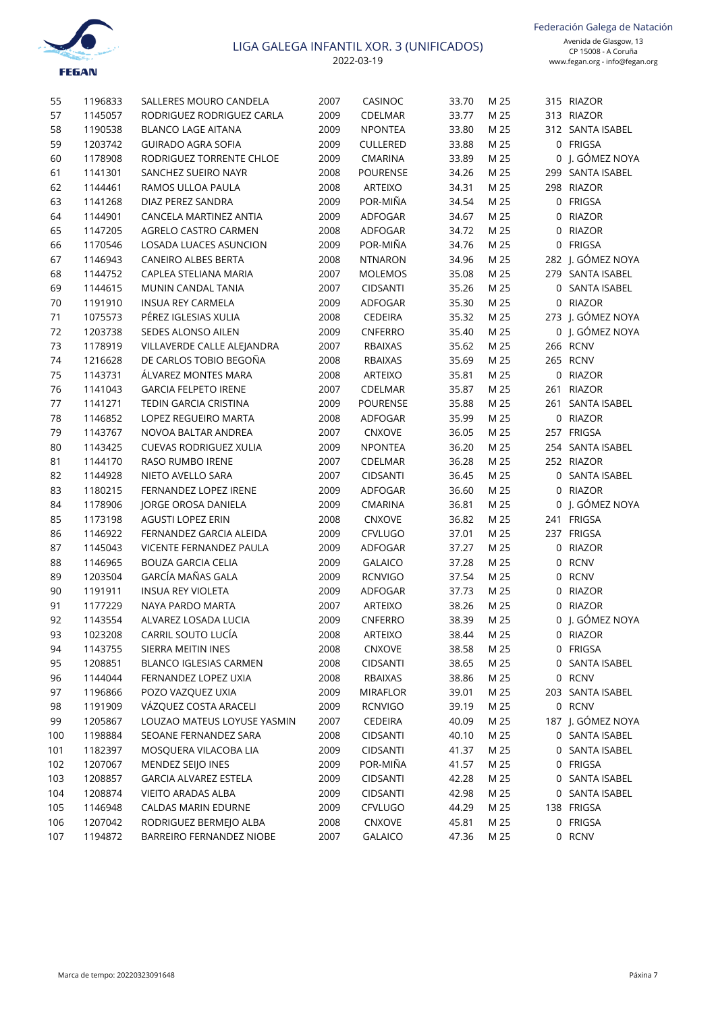

| 55  | 1196833 | SALLERES MOURO CANDELA        | 2007 | CASINOC         | 33.70      | M 25 | 315 RIAZOR        |  |
|-----|---------|-------------------------------|------|-----------------|------------|------|-------------------|--|
| 57  | 1145057 | RODRIGUEZ RODRIGUEZ CARLA     | 2009 | CDELMAR         | 33.77      | M 25 | 313 RIAZOR        |  |
| 58  | 1190538 | <b>BLANCO LAGE AITANA</b>     | 2009 | <b>NPONTEA</b>  | 33.80      | M 25 | 312 SANTA ISABEL  |  |
| 59  | 1203742 | <b>GUIRADO AGRA SOFIA</b>     | 2009 | CULLERED        | 33.88      | M 25 | 0 FRIGSA          |  |
| 60  | 1178908 | RODRIGUEZ TORRENTE CHLOE      | 2009 | CMARINA         | 33.89      | M 25 | 0 J. GÓMEZ NOYA   |  |
| 61  | 1141301 | SANCHEZ SUEIRO NAYR           | 2008 | POURENSE        | 34.26      | M 25 | 299 SANTA ISABEL  |  |
| 62  | 1144461 | RAMOS ULLOA PAULA             | 2008 | ARTEIXO         | 34.31      | M 25 | 298 RIAZOR        |  |
| 63  | 1141268 | DIAZ PEREZ SANDRA             | 2009 | POR-MIÑA        | 34.54      | M 25 | 0 FRIGSA          |  |
| 64  | 1144901 | CANCELA MARTINEZ ANTIA        | 2009 | ADFOGAR         | 34.67      | M 25 | 0 RIAZOR          |  |
| 65  | 1147205 | AGRELO CASTRO CARMEN          | 2008 | ADFOGAR         | 34.72      | M 25 | 0 RIAZOR          |  |
| 66  | 1170546 | LOSADA LUACES ASUNCION        | 2009 | POR-MIÑA        | 34.76      | M 25 | 0 FRIGSA          |  |
| 67  | 1146943 | <b>CANEIRO ALBES BERTA</b>    | 2008 | <b>NTNARON</b>  | 34.96      | M 25 | 282 J. GÓMEZ NOYA |  |
| 68  | 1144752 | CAPLEA STELIANA MARIA         | 2007 | <b>MOLEMOS</b>  | 35.08      | M 25 | 279 SANTA ISABEL  |  |
| 69  | 1144615 | MUNIN CANDAL TANIA            | 2007 | <b>CIDSANTI</b> | 35.26      | M 25 | 0 SANTA ISABEL    |  |
| 70  | 1191910 | INSUA REY CARMELA             | 2009 | ADFOGAR         | 35.30      | M 25 | 0 RIAZOR          |  |
| 71  | 1075573 | PÉREZ IGLESIAS XULIA          | 2008 | <b>CEDEIRA</b>  | 35.32      | M 25 | 273 J. GÓMEZ NOYA |  |
| 72  | 1203738 | SEDES ALONSO AILEN            | 2009 | CNFERRO         | 35.40      | M 25 | 0 J. GÓMEZ NOYA   |  |
| 73  | 1178919 | VILLAVERDE CALLE ALEJANDRA    | 2007 | <b>RBAIXAS</b>  | 35.62      | M 25 | 266 RCNV          |  |
| 74  | 1216628 | DE CARLOS TOBIO BEGOÑA        | 2008 | <b>RBAIXAS</b>  | 35.69      | M 25 | 265 RCNV          |  |
| 75  | 1143731 | ÁLVAREZ MONTES MARA           | 2008 | ARTEIXO         | 35.81      | M 25 | 0 RIAZOR          |  |
| 76  | 1141043 | <b>GARCIA FELPETO IRENE</b>   | 2007 | CDELMAR         | 35.87      | M 25 | 261 RIAZOR        |  |
| 77  | 1141271 | TEDIN GARCIA CRISTINA         | 2009 | POURENSE        | 35.88      | M 25 | 261 SANTA ISABEL  |  |
| 78  | 1146852 | <b>LOPEZ REGUEIRO MARTA</b>   | 2008 | ADFOGAR         | 35.99      | M 25 | 0 RIAZOR          |  |
| 79  | 1143767 | NOVOA BALTAR ANDREA           | 2007 | CNXOVE          | 36.05      | M 25 | 257 FRIGSA        |  |
| 80  | 1143425 | <b>CUEVAS RODRIGUEZ XULIA</b> | 2009 | <b>NPONTEA</b>  | 36.20      | M 25 | 254 SANTA ISABEL  |  |
| 81  | 1144170 | RASO RUMBO IRENE              | 2007 | CDELMAR         | 36.28      | M 25 | 252 RIAZOR        |  |
| 82  | 1144928 | NIETO AVELLO SARA             | 2007 | <b>CIDSANTI</b> | 36.45      | M 25 | 0 SANTA ISABEL    |  |
| 83  | 1180215 | FERNANDEZ LOPEZ IRENE         | 2009 | ADFOGAR         | 36.60      | M 25 | 0 RIAZOR          |  |
| 84  | 1178906 | JORGE OROSA DANIELA           | 2009 | CMARINA         | 36.81      | M 25 | 0 J. GÓMEZ NOYA   |  |
| 85  | 1173198 | <b>AGUSTI LOPEZ ERIN</b>      | 2008 | CNXOVE          | 36.82      | M 25 | 241 FRIGSA        |  |
| 86  | 1146922 | FERNANDEZ GARCIA ALEIDA       | 2009 | CFVLUGO         | 37.01      | M 25 | 237 FRIGSA        |  |
| 87  | 1145043 | VICENTE FERNANDEZ PAULA       | 2009 | ADFOGAR         | 37.27      | M 25 | 0 RIAZOR          |  |
| 88  | 1146965 | <b>BOUZA GARCIA CELIA</b>     | 2009 | <b>GALAICO</b>  | 37.28      | M 25 | 0 RCNV            |  |
| 89  | 1203504 | GARCÍA MAÑAS GALA             | 2009 | <b>RCNVIGO</b>  | 37.54      | M 25 | 0 RCNV            |  |
| 90  | 1191911 | <b>INSUA REY VIOLETA</b>      | 2009 | ADFOGAR         | 37.73      | M 25 | 0 RIAZOR          |  |
| 91  | 1177229 | NAYA PARDO MARTA              | 2007 | ARTEIXO         | 38.26      | M 25 | 0 RIAZOR          |  |
| 92  | 1143554 | ALVAREZ LOSADA LUCIA          | 2009 | CNFERRO         | 38.39      | M 25 | 0 J. GÓMEZ NOYA   |  |
| 93  | 1023208 | CARRIL SOUTO LUCÍA            | 2008 | ARTEIXO         | 38.44 M 25 |      | 0 RIAZOR          |  |
| 94  | 1143755 | SIERRA MEITIN INES            | 2008 | CNXOVE          | 38.58      | M 25 | 0 FRIGSA          |  |
| 95  | 1208851 | <b>BLANCO IGLESIAS CARMEN</b> | 2008 | CIDSANTI        | 38.65      | M 25 | 0 SANTA ISABEL    |  |
| 96  | 1144044 | FERNANDEZ LOPEZ UXIA          | 2008 | RBAIXAS         | 38.86      | M 25 | 0 RCNV            |  |
| 97  | 1196866 | POZO VAZOUEZ UXIA             | 2009 | <b>MIRAFLOR</b> | 39.01      | M 25 | 203 SANTA ISABEL  |  |
| 98  | 1191909 | VÁZQUEZ COSTA ARACELI         | 2009 | <b>RCNVIGO</b>  | 39.19      | M 25 | 0 RCNV            |  |
| 99  | 1205867 | LOUZAO MATEUS LOYUSE YASMIN   | 2007 | CEDEIRA         | 40.09      | M 25 | 187 J. GÓMEZ NOYA |  |
| 100 | 1198884 | SEOANE FERNANDEZ SARA         | 2008 | CIDSANTI        | 40.10      | M 25 | 0 SANTA ISABEL    |  |
| 101 | 1182397 | MOSQUERA VILACOBA LIA         | 2009 | <b>CIDSANTI</b> | 41.37      | M 25 | 0 SANTA ISABEL    |  |
| 102 | 1207067 | MENDEZ SEIJO INES             | 2009 | POR-MIÑA        | 41.57      | M 25 | 0 FRIGSA          |  |
| 103 | 1208857 | <b>GARCIA ALVAREZ ESTELA</b>  | 2009 | <b>CIDSANTI</b> | 42.28      | M 25 | 0 SANTA ISABEL    |  |
| 104 | 1208874 | <b>VIEITO ARADAS ALBA</b>     | 2009 | <b>CIDSANTI</b> | 42.98      | M 25 | 0 SANTA ISABEL    |  |
| 105 | 1146948 | CALDAS MARIN EDURNE           | 2009 | CFVLUGO         | 44.29      | M 25 | 138 FRIGSA        |  |
| 106 | 1207042 | RODRIGUEZ BERMEJO ALBA        | 2008 | CNXOVE          | 45.81      | M 25 | 0 FRIGSA          |  |
| 107 | 1194872 | BARREIRO FERNANDEZ NIOBE      | 2007 | <b>GALAICO</b>  | 47.36      | M 25 | 0 RCNV            |  |
|     |         |                               |      |                 |            |      |                   |  |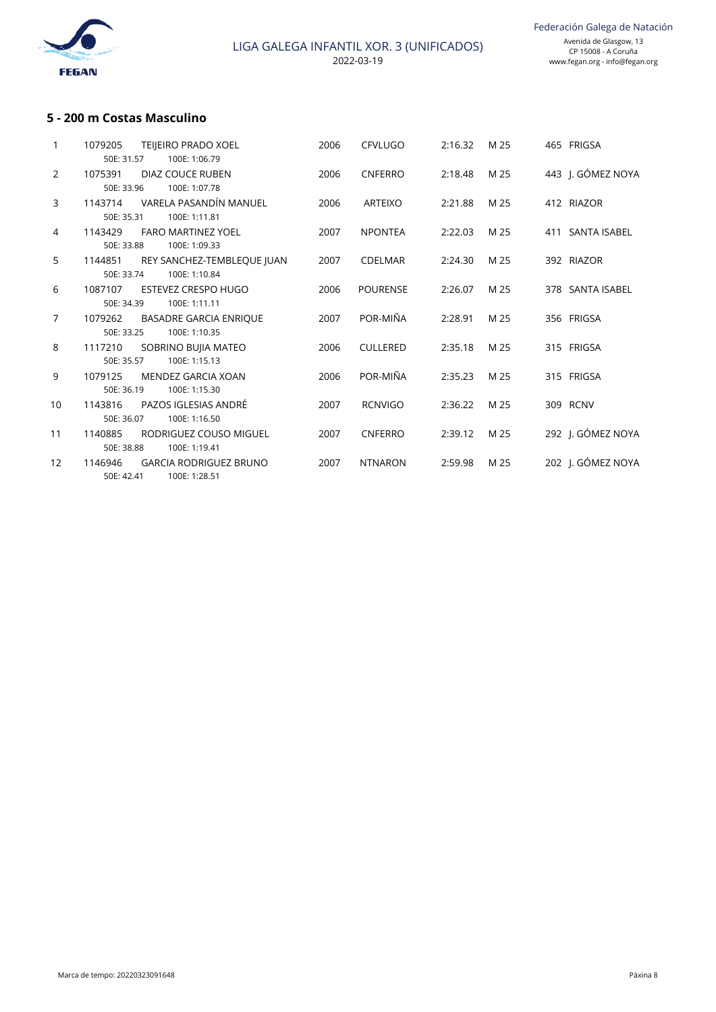

## **5 - 200 m Costas Masculino**

| 1079205 | <b>TEIJEIRO PRADO XOEL</b><br>100E: 1:06.79    | 2006                                                                                                                                                                                                                                                                                        | <b>CFVLUGO</b>  | 2:16.32 | M 25 | 465 FRIGSA        |
|---------|------------------------------------------------|---------------------------------------------------------------------------------------------------------------------------------------------------------------------------------------------------------------------------------------------------------------------------------------------|-----------------|---------|------|-------------------|
| 1075391 | DIAZ COUCE RUBEN<br>100E: 1:07.78              | 2006                                                                                                                                                                                                                                                                                        | <b>CNFERRO</b>  | 2:18.48 | M 25 | 443 I. GÓMEZ NOYA |
| 1143714 | VARELA PASANDÍN MANUEL<br>100E: 1:11.81        | 2006                                                                                                                                                                                                                                                                                        | <b>ARTEIXO</b>  | 2:21.88 | M 25 | 412 RIAZOR        |
| 1143429 | <b>FARO MARTINEZ YOEL</b><br>100E: 1:09.33     | 2007                                                                                                                                                                                                                                                                                        | <b>NPONTEA</b>  | 2:22.03 | M 25 | 411 SANTA ISABEL  |
| 1144851 | REY SANCHEZ-TEMBLEQUE JUAN                     | 2007                                                                                                                                                                                                                                                                                        | <b>CDELMAR</b>  | 2:24.30 | M 25 | 392 RIAZOR        |
| 1087107 | <b>ESTEVEZ CRESPO HUGO</b>                     | 2006                                                                                                                                                                                                                                                                                        | <b>POURENSE</b> | 2:26.07 | M 25 | 378 SANTA ISABEL  |
| 1079262 | <b>BASADRE GARCIA ENRIQUE</b>                  | 2007                                                                                                                                                                                                                                                                                        | POR-MIÑA        | 2:28.91 | M 25 | 356 FRIGSA        |
| 1117210 | SOBRINO BUJIA MATEO                            | 2006                                                                                                                                                                                                                                                                                        | <b>CULLERED</b> | 2:35.18 | M 25 | 315 FRIGSA        |
| 1079125 | MENDEZ GARCIA XOAN                             | 2006                                                                                                                                                                                                                                                                                        | POR-MIÑA        | 2:35.23 | M 25 | 315 FRIGSA        |
| 1143816 | PAZOS IGLESIAS ANDRÉ                           | 2007                                                                                                                                                                                                                                                                                        | <b>RCNVIGO</b>  | 2:36.22 | M 25 | 309 RCNV          |
| 1140885 | RODRIGUEZ COUSO MIGUEL                         | 2007                                                                                                                                                                                                                                                                                        | <b>CNFERRO</b>  | 2:39.12 | M 25 | 292 J. GÓMEZ NOYA |
| 1146946 | <b>GARCIA RODRIGUEZ BRUNO</b><br>100E: 1:28.51 | 2007                                                                                                                                                                                                                                                                                        | <b>NTNARON</b>  | 2:59.98 | M 25 | 202 I. GÓMEZ NOYA |
|         |                                                | 50E: 31.57<br>50E: 33.96<br>50E: 35.31<br>50E: 33.88<br>50E: 33.74<br>100E: 1:10.84<br>100E: 1:11.11<br>50E: 34.39<br>100E: 1:10.35<br>50E: 33.25<br>100E: 1:15.13<br>50E: 35.57<br>50E: 36.19<br>100E: 1:15.30<br>100E: 1:16.50<br>50E: 36.07<br>100E: 1:19.41<br>50E: 38.88<br>50E: 42.41 |                 |         |      |                   |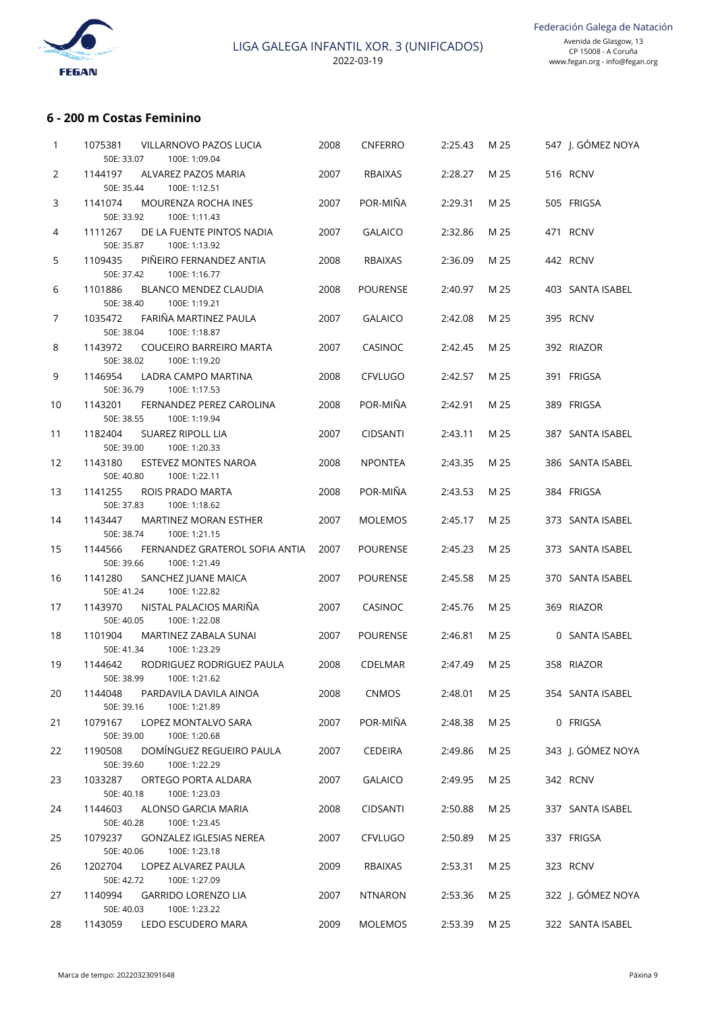

# **6 - 200 m Costas Feminino**

| 1  | 1075381<br>VILLARNOVO PAZOS LUCIA<br>50E: 33.07<br>100E: 1:09.04         | 2008 | CNFERRO         | 2:25.43 | M 25 | 547 J. GÓMEZ NOYA |
|----|--------------------------------------------------------------------------|------|-----------------|---------|------|-------------------|
| 2  | 1144197<br>ALVAREZ PAZOS MARIA                                           | 2007 | <b>RBAIXAS</b>  | 2:28.27 | M 25 | 516 RCNV          |
| 3  | 50E: 35.44<br>100E: 1:12.51<br>1141074<br>MOURENZA ROCHA INES            | 2007 | POR-MIÑA        | 2:29.31 | M 25 | 505 FRIGSA        |
| 4  | 50E: 33.92<br>100E: 1:11.43<br>1111267<br>DE LA FUENTE PINTOS NADIA      | 2007 | <b>GALAICO</b>  | 2:32.86 | M 25 | 471 RCNV          |
| 5  | 50E: 35.87<br>100E: 1:13.92<br>1109435<br>PIÑEIRO FERNANDEZ ANTIA        | 2008 | <b>RBAIXAS</b>  | 2:36.09 | M 25 | 442 RCNV          |
| 6  | 50E: 37.42<br>100E: 1:16.77<br>1101886<br>BLANCO MENDEZ CLAUDIA          | 2008 | <b>POURENSE</b> | 2:40.97 | M 25 | 403 SANTA ISABEL  |
| 7  | 100E: 1:19.21<br>50E: 38.40<br>1035472<br>FARIÑA MARTINEZ PAULA          | 2007 | <b>GALAICO</b>  | 2:42.08 | M 25 | 395 RCNV          |
|    | 50E: 38.04<br>100E: 1:18.87                                              |      |                 |         |      |                   |
| 8  | COUCEIRO BARREIRO MARTA<br>1143972<br>50E: 38.02<br>100E: 1:19.20        | 2007 | <b>CASINOC</b>  | 2:42.45 | M 25 | 392 RIAZOR        |
| 9  | 1146954<br>LADRA CAMPO MARTINA<br>50E: 36.79<br>100E: 1:17.53            | 2008 | <b>CFVLUGO</b>  | 2:42.57 | M 25 | 391 FRIGSA        |
| 10 | 1143201<br>FERNANDEZ PEREZ CAROLINA<br>50E: 38.55<br>100E: 1:19.94       | 2008 | POR-MIÑA        | 2:42.91 | M 25 | 389 FRIGSA        |
| 11 | 1182404<br><b>SUAREZ RIPOLL LIA</b><br>50E: 39.00<br>100E: 1:20.33       | 2007 | <b>CIDSANTI</b> | 2:43.11 | M 25 | 387 SANTA ISABEL  |
| 12 | 1143180<br>ESTEVEZ MONTES NAROA<br>50E: 40.80<br>100E: 1:22.11           | 2008 | <b>NPONTEA</b>  | 2:43.35 | M 25 | 386 SANTA ISABEL  |
| 13 | 1141255<br>ROIS PRADO MARTA<br>50E: 37.83<br>100E: 1:18.62               | 2008 | POR-MIÑA        | 2:43.53 | M 25 | 384 FRIGSA        |
| 14 | 1143447<br>MARTINEZ MORAN ESTHER                                         | 2007 | <b>MOLEMOS</b>  | 2:45.17 | M 25 | 373 SANTA ISABEL  |
| 15 | 50E: 38.74<br>100E: 1:21.15<br>1144566<br>FERNANDEZ GRATEROL SOFIA ANTIA | 2007 | <b>POURENSE</b> | 2:45.23 | M 25 | 373 SANTA ISABEL  |
| 16 | 50E: 39.66<br>100E: 1:21.49<br>1141280<br>SANCHEZ JUANE MAICA            | 2007 | <b>POURENSE</b> | 2:45.58 | M 25 | 370 SANTA ISABEL  |
| 17 | 50E: 41.24<br>100E: 1:22.82<br>1143970<br>NISTAL PALACIOS MARIÑA         | 2007 | CASINOC         | 2:45.76 | M 25 | 369 RIAZOR        |
|    | 50E: 40.05<br>100E: 1:22.08                                              |      |                 |         |      |                   |
| 18 | 1101904<br>MARTINEZ ZABALA SUNAI<br>50E: 41.34<br>100E: 1:23.29          | 2007 | <b>POURENSE</b> | 2:46.81 | M 25 | 0 SANTA ISABEL    |
| 19 | RODRIGUEZ RODRIGUEZ PAULA<br>1144642<br>50E: 38.99<br>100E: 1:21.62      | 2008 | CDELMAR         | 2:47.49 | M 25 | 358 RIAZOR        |
| 20 | PARDAVILA DAVILA AINOA<br>1144048<br>50E: 39.16<br>100E: 1:21.89         | 2008 | <b>CNMOS</b>    | 2:48.01 | M 25 | 354 SANTA ISABEL  |
| 21 | 1079167<br>LOPEZ MONTALVO SARA<br>50E: 39.00<br>100E: 1:20.68            | 2007 | POR-MIÑA        | 2:48.38 | M 25 | 0 FRIGSA          |
| 22 | DOMÍNGUEZ REGUEIRO PAULA<br>1190508                                      | 2007 | <b>CEDEIRA</b>  | 2:49.86 | M 25 | 343 J. GÓMEZ NOYA |
| 23 | 50E: 39.60<br>100E: 1:22.29<br>ORTEGO PORTA ALDARA<br>1033287            | 2007 | <b>GALAICO</b>  | 2:49.95 | M 25 | 342 RCNV          |
|    | 50E: 40.18<br>100E: 1:23.03<br>ALONSO GARCIA MARIA                       |      | <b>CIDSANTI</b> |         |      |                   |
| 24 | 1144603<br>50E: 40.28<br>100E: 1:23.45                                   | 2008 |                 | 2:50.88 | M 25 | 337 SANTA ISABEL  |
| 25 | 1079237<br><b>GONZALEZ IGLESIAS NEREA</b><br>50E: 40.06<br>100E: 1:23.18 | 2007 | <b>CFVLUGO</b>  | 2:50.89 | M 25 | 337 FRIGSA        |
| 26 | 1202704<br>LOPEZ ALVAREZ PAULA<br>50E: 42.72<br>100E: 1:27.09            | 2009 | RBAIXAS         | 2:53.31 | M 25 | 323 RCNV          |
| 27 | 1140994<br><b>GARRIDO LORENZO LIA</b><br>50E: 40.03<br>100E: 1:23.22     | 2007 | <b>NTNARON</b>  | 2:53.36 | M 25 | 322 J. GÓMEZ NOYA |
| 28 | LEDO ESCUDERO MARA<br>1143059                                            | 2009 | <b>MOLEMOS</b>  | 2:53.39 | M 25 | 322 SANTA ISABEL  |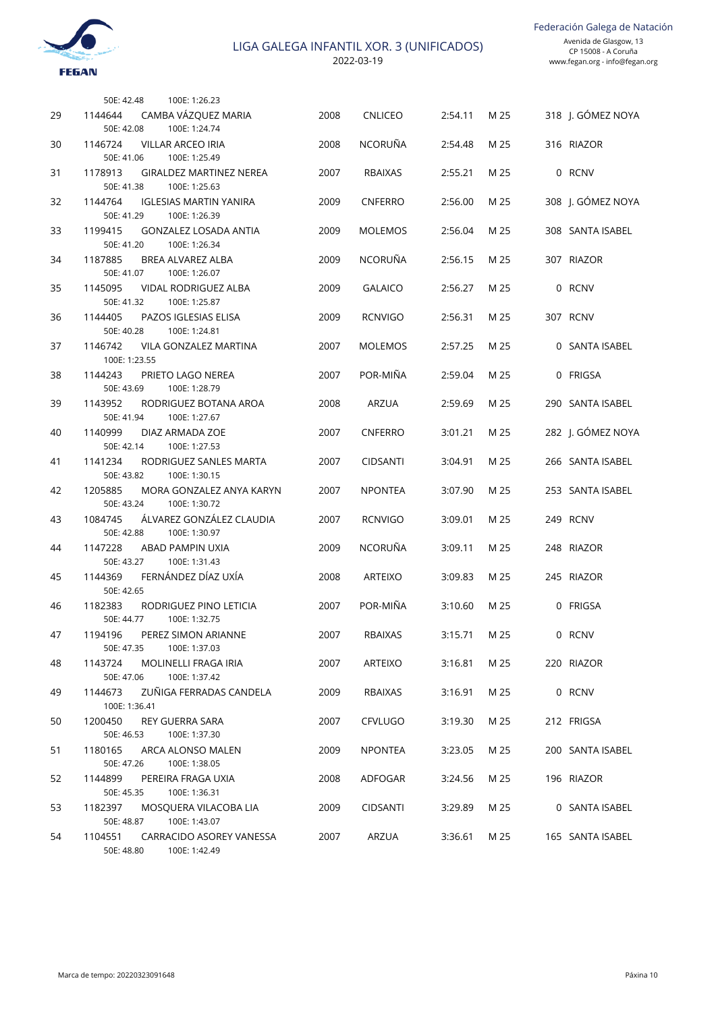

|    | 100E: 1:26.23<br>50E: 42.48                                             |      |                 |              |      |                   |
|----|-------------------------------------------------------------------------|------|-----------------|--------------|------|-------------------|
| 29 | CAMBA VÁZQUEZ MARIA<br>1144644<br>50E: 42.08<br>100E: 1:24.74           | 2008 | <b>CNLICEO</b>  | 2:54.11      | M 25 | 318 J. GÓMEZ NOYA |
| 30 | 1146724<br><b>VILLAR ARCEO IRIA</b><br>50E: 41.06<br>100E: 1:25.49      | 2008 | <b>NCORUÑA</b>  | 2:54.48      | M 25 | 316 RIAZOR        |
| 31 | 1178913<br><b>GIRALDEZ MARTINEZ NEREA</b>                               | 2007 | <b>RBAIXAS</b>  | 2:55.21      | M 25 | 0 RCNV            |
| 32 | 50E: 41.38<br>100E: 1:25.63<br>1144764<br><b>IGLESIAS MARTIN YANIRA</b> | 2009 | <b>CNFERRO</b>  | 2:56.00      | M 25 | 308 J. GÓMEZ NOYA |
| 33 | 50E: 41.29<br>100E: 1:26.39<br>1199415<br><b>GONZALEZ LOSADA ANTIA</b>  | 2009 | <b>MOLEMOS</b>  | 2:56.04      | M 25 | 308 SANTA ISABEL  |
|    | 50E: 41.20<br>100E: 1:26.34                                             |      |                 |              |      | 307 RIAZOR        |
| 34 | 1187885<br><b>BREA ALVAREZ ALBA</b><br>50E: 41.07<br>100E: 1:26.07      | 2009 | <b>NCORUÑA</b>  | 2:56.15      | M 25 |                   |
| 35 | 1145095<br><b>VIDAL RODRIGUEZ ALBA</b><br>50E: 41.32<br>100E: 1:25.87   | 2009 | <b>GALAICO</b>  | 2:56.27      | M 25 | 0 RCNV            |
| 36 | 1144405<br>PAZOS IGLESIAS ELISA<br>50E: 40.28<br>100E: 1:24.81          | 2009 | <b>RCNVIGO</b>  | 2:56.31      | M 25 | 307 RCNV          |
| 37 | 1146742<br><b>VILA GONZALEZ MARTINA</b>                                 | 2007 | <b>MOLEMOS</b>  | 2:57.25      | M 25 | 0 SANTA ISABEL    |
| 38 | 100E: 1:23.55<br>1144243<br>PRIETO LAGO NEREA                           | 2007 | POR-MIÑA        | 2:59.04      | M 25 | 0 FRIGSA          |
| 39 | 50E: 43.69<br>100E: 1:28.79<br>1143952<br>RODRIGUEZ BOTANA AROA         | 2008 | <b>ARZUA</b>    | 2:59.69      | M 25 | 290 SANTA ISABEL  |
|    | 50E: 41.94<br>100E: 1:27.67                                             |      |                 |              |      |                   |
| 40 | 1140999<br>DIAZ ARMADA ZOE<br>50E: 42.14<br>100E: 1:27.53               | 2007 | <b>CNFERRO</b>  | 3:01.21      | M 25 | 282 J. GÓMEZ NOYA |
| 41 | 1141234<br>RODRIGUEZ SANLES MARTA<br>50E: 43.82<br>100E: 1:30.15        | 2007 | <b>CIDSANTI</b> | 3:04.91      | M 25 | 266 SANTA ISABEL  |
| 42 | 1205885<br>MORA GONZALEZ ANYA KARYN<br>50E: 43.24<br>100E: 1:30.72      | 2007 | <b>NPONTEA</b>  | 3:07.90      | M 25 | 253 SANTA ISABEL  |
| 43 | ÁLVAREZ GONZÁLEZ CLAUDIA<br>1084745<br>50E: 42.88<br>100E: 1:30.97      | 2007 | <b>RCNVIGO</b>  | 3:09.01      | M 25 | 249 RCNV          |
| 44 | 1147228<br>ABAD PAMPIN UXIA                                             | 2009 | <b>NCORUÑA</b>  | 3:09.11      | M 25 | 248 RIAZOR        |
| 45 | 50E: 43.27<br>100E: 1:31.43<br>FERNÁNDEZ DÍAZ UXÍA<br>1144369           | 2008 | <b>ARTEIXO</b>  | 3:09.83      | M 25 | 245 RIAZOR        |
| 46 | 50E: 42.65<br>1182383<br>RODRIGUEZ PINO LETICIA                         | 2007 | POR-MIÑA        | 3:10.60      | M 25 | 0 FRIGSA          |
| 47 | 50E: 44.77<br>100E: 1:32.75<br>1194196<br>PEREZ SIMON ARIANNE           | 2007 | RBAIXAS         | 3:15.71 M 25 |      | 0 RCNV            |
|    | 100E: 1:37.03<br>50E: 47.35                                             |      |                 |              |      |                   |
| 48 | 1143724<br>MOLINELLI FRAGA IRIA<br>50E: 47.06<br>100E: 1:37.42          | 2007 | ARTEIXO         | 3:16.81      | M 25 | 220 RIAZOR        |
| 49 | ZUÑIGA FERRADAS CANDELA<br>1144673<br>100E: 1:36.41                     | 2009 | RBAIXAS         | 3:16.91      | M 25 | 0 RCNV            |
| 50 | 1200450<br>REY GUERRA SARA<br>50E: 46.53<br>100E: 1:37.30               | 2007 | <b>CFVLUGO</b>  | 3:19.30      | M 25 | 212 FRIGSA        |
| 51 | 1180165<br>ARCA ALONSO MALEN<br>50E: 47.26<br>100E: 1:38.05             | 2009 | NPONTEA         | 3:23.05      | M 25 | 200 SANTA ISABEL  |
| 52 | 1144899<br>PEREIRA FRAGA UXIA                                           | 2008 | ADFOGAR         | 3:24.56      | M 25 | 196 RIAZOR        |
| 53 | 100E: 1:36.31<br>50E: 45.35<br>1182397<br>MOSQUERA VILACOBA LIA         | 2009 | <b>CIDSANTI</b> | 3:29.89      | M 25 | 0 SANTA ISABEL    |
| 54 | 50E: 48.87<br>100E: 1:43.07<br>1104551<br>CARRACIDO ASOREY VANESSA      | 2007 | ARZUA           | 3:36.61      | M 25 | 165 SANTA ISABEL  |
|    | 50E: 48.80<br>100E: 1:42.49                                             |      |                 |              |      |                   |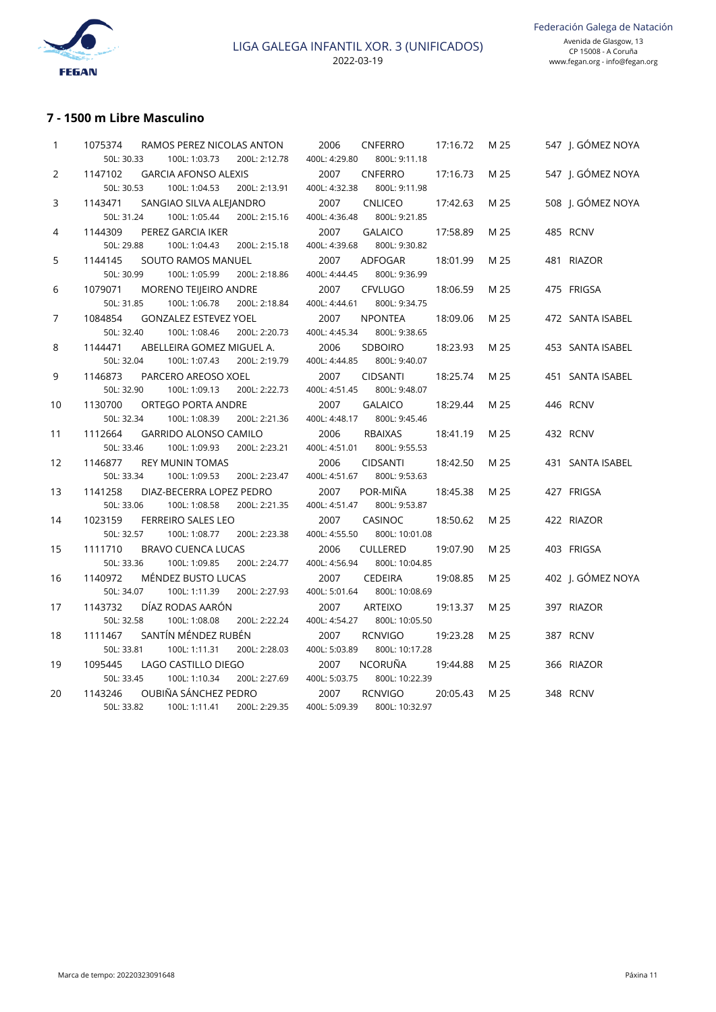

# **7 - 1500 m Libre Masculino**

| 1  | 1075374    | RAMOS PEREZ NICOLAS ANTON    |               | 2006          | <b>CNFERRO</b>  | 17:16.72 | M 25 | 547 J. GÓMI |
|----|------------|------------------------------|---------------|---------------|-----------------|----------|------|-------------|
|    | 50L: 30.33 | 100L: 1:03.73                | 200L: 2:12.78 | 400L: 4:29.80 | 800L: 9:11.18   |          |      |             |
| 2  | 1147102    | <b>GARCIA AFONSO ALEXIS</b>  |               | 2007          | <b>CNFERRO</b>  | 17:16.73 | M 25 | 547 J. GÓMI |
|    | 50L: 30.53 | 100L: 1:04.53                | 200L: 2:13.91 | 400L: 4:32.38 | 800L: 9:11.98   |          |      |             |
| 3  | 1143471    | SANGIAO SILVA ALEJANDRO      |               | 2007          | <b>CNLICEO</b>  | 17:42.63 | M 25 | 508   GÓMI  |
|    | 50L: 31.24 | 100L: 1:05.44                | 200L: 2:15.16 | 400L: 4:36.48 | 800L: 9:21.85   |          |      |             |
| 4  | 1144309    | PEREZ GARCIA IKER            |               | 2007          | <b>GALAICO</b>  | 17:58.89 | M 25 | 485 RCNV    |
|    | 50L: 29.88 | 100L: 1:04.43                | 200L: 2:15.18 | 400L: 4:39.68 | 800L: 9:30.82   |          |      |             |
| 5  | 1144145    | SOUTO RAMOS MANUEL           |               | 2007          | ADFOGAR         | 18:01.99 | M 25 | 481 RIAZOR  |
|    | 50L: 30.99 | 100L: 1:05.99                | 200L: 2:18.86 | 400L: 4:44.45 | 800L: 9:36.99   |          |      |             |
| 6  | 1079071    | <b>MORENO TEIJEIRO ANDRE</b> |               | 2007          | <b>CFVLUGO</b>  | 18:06.59 | M 25 | 475 FRIGSA  |
|    | 50L: 31.85 | 100L: 1:06.78                | 200L: 2:18.84 | 400L: 4:44.61 | 800L: 9:34.75   |          |      |             |
| 7  | 1084854    | <b>GONZALEZ ESTEVEZ YOEL</b> |               | 2007          | <b>NPONTEA</b>  | 18:09.06 | M 25 | 472 SANTA   |
|    | 50L: 32.40 | 100L: 1:08.46                | 200L: 2:20.73 | 400L: 4:45.34 | 800L: 9:38.65   |          |      |             |
| 8  | 1144471    | ABELLEIRA GOMEZ MIGUEL A.    |               | 2006          | <b>SDBOIRO</b>  | 18:23.93 | M 25 | 453 SANTA   |
|    | 50L: 32.04 | 100L: 1:07.43                | 200L: 2:19.79 | 400L: 4:44.85 | 800L: 9:40.07   |          |      |             |
| 9  | 1146873    | PARCERO AREOSO XOEL          |               | 2007          | <b>CIDSANTI</b> | 18:25.74 | M 25 | 451 SANTA   |
|    | 50L: 32.90 | 100L: 1:09.13                | 200L: 2:22.73 | 400L: 4:51.45 | 800L: 9:48.07   |          |      |             |
| 10 | 1130700    | ORTEGO PORTA ANDRE           |               | 2007          | <b>GALAICO</b>  | 18:29.44 | M 25 | 446 RCNV    |
|    | 50L: 32.34 | 100L: 1:08.39                | 200L: 2:21.36 | 400L: 4:48.17 | 800L: 9:45.46   |          |      |             |
| 11 | 1112664    | <b>GARRIDO ALONSO CAMILO</b> |               | 2006          | <b>RBAIXAS</b>  | 18:41.19 | M 25 | 432 RCNV    |
|    | 50L: 33.46 | 100L: 1:09.93                | 200L: 2:23.21 | 400L: 4:51.01 | 800L: 9:55.53   |          |      |             |
| 12 | 1146877    | <b>REY MUNIN TOMAS</b>       |               | 2006          | <b>CIDSANTI</b> | 18:42.50 | M 25 | 431 SANTA   |
|    | 50L: 33.34 | 100L: 1:09.53                | 200L: 2:23.47 | 400L: 4:51.67 | 800L: 9:53.63   |          |      |             |
| 13 | 1141258    | DIAZ-BECERRA LOPEZ PEDRO     |               | 2007          | POR-MIÑA        | 18:45.38 | M 25 | 427 FRIGSA  |
|    | 50L: 33.06 | 100L: 1:08.58                | 200L: 2:21.35 | 400L: 4:51.47 | 800L: 9:53.87   |          |      |             |
| 14 | 1023159    | <b>FERREIRO SALES LEO</b>    |               | 2007          | CASINOC         | 18:50.62 | M 25 | 422 RIAZOR  |
|    | 50L: 32.57 | 100L: 1:08.77                | 200L: 2:23.38 | 400L: 4:55.50 | 800L: 10:01.08  |          |      |             |
| 15 | 1111710    | <b>BRAVO CUENCA LUCAS</b>    |               | 2006          | <b>CULLERED</b> | 19:07.90 | M 25 | 403 FRIGSA  |
|    | 50L: 33.36 | 100L: 1:09.85                | 200L: 2:24.77 | 400L: 4:56.94 | 800L: 10:04.85  |          |      |             |
| 16 | 1140972    | MÉNDEZ BUSTO LUCAS           |               | 2007          | <b>CEDEIRA</b>  | 19:08.85 | M 25 | 402 I. GÓMI |
|    | 50L: 34.07 | 100L: 1:11.39                | 200L: 2:27.93 | 400L: 5:01.64 | 800L: 10:08.69  |          |      |             |
| 17 | 1143732    | DÍAZ RODAS AARÓN             |               | 2007          | <b>ARTEIXO</b>  | 19:13.37 | M 25 | 397 RIAZOR  |
|    | 50L: 32.58 | 100L: 1:08.08                | 200L: 2:22.24 | 400L: 4:54.27 | 800L: 10:05.50  |          |      |             |
| 18 | 1111467    | SANTÍN MÉNDEZ RUBÉN          |               | 2007          | <b>RCNVIGO</b>  | 19:23.28 | M 25 | 387 RCNV    |
|    | 50L: 33.81 | 100L: 1:11.31                | 200L: 2:28.03 | 400L: 5:03.89 | 800L: 10:17.28  |          |      |             |
| 19 | 1095445    | LAGO CASTILLO DIEGO          |               | 2007          | <b>NCORUÑA</b>  | 19:44.88 | M 25 | 366 RIAZOR  |
|    | 50L: 33.45 | 100L: 1:10.34                | 200L: 2:27.69 | 400L: 5:03.75 | 800L: 10:22.39  |          |      |             |
| 20 | 1143246    | OUBIÑA SÁNCHEZ PEDRO         |               | 2007          | <b>RCNVIGO</b>  | 20:05.43 | M 25 | 348 RCNV    |
|    | 50L: 33.82 | 100L: 1:11.41                | 200L: 2:29.35 | 400L: 5:09.39 | 800L: 10:32.97  |          |      |             |
|    |            |                              |               |               |                 |          |      |             |

| 1  | 1075374<br>RAMOS PEREZ NICOLAS ANTON         | 2006<br>CNFERRO<br>17:16.72<br>M 25<br>547 J. GÓMEZ NOYA        |
|----|----------------------------------------------|-----------------------------------------------------------------|
|    | 50L: 30.33<br>100L: 1:03.73<br>200L: 2:12.78 | 400L: 4:29.80<br>800L: 9:11.18                                  |
| 2  | 1147102<br><b>GARCIA AFONSO ALEXIS</b>       | 2007<br><b>CNFERRO</b><br>547 J. GÓMEZ NOYA<br>17:16.73<br>M 25 |
|    | 50L: 30.53<br>100L: 1:04.53<br>200L: 2:13.91 | 400L: 4:32.38<br>800L: 9:11.98                                  |
| 3  | 1143471<br>SANGIAO SILVA ALEJANDRO           | 508 J. GÓMEZ NOYA<br>2007<br><b>CNLICEO</b><br>M 25<br>17:42.63 |
|    | 50L: 31.24<br>100L: 1:05.44<br>200L: 2:15.16 | 400L: 4:36.48<br>800L: 9:21.85                                  |
| 4  | 1144309<br>PEREZ GARCIA IKER                 | 2007<br><b>GALAICO</b><br>M 25<br>485 RCNV<br>17:58.89          |
|    | 50L: 29.88<br>100L: 1:04.43<br>200L: 2:15.18 | 400L: 4:39.68<br>800L: 9:30.82                                  |
| 5  | 1144145<br>SOUTO RAMOS MANUEL                | 2007<br>ADFOGAR<br>18:01.99<br>M 25<br>481 RIAZOR               |
|    | 50L: 30.99<br>100L: 1:05.99<br>200L: 2:18.86 | 800L: 9:36.99<br>400L: 4:44.45                                  |
| 6  | 1079071<br>MORENO TEIJEIRO ANDRE             | 2007<br><b>CFVLUGO</b><br>475 FRIGSA<br>18:06.59<br>M 25        |
|    | 50L: 31.85<br>100L: 1:06.78<br>200L: 2:18.84 | 400L: 4:44.61<br>800L: 9:34.75                                  |
| 7  | 1084854<br><b>GONZALEZ ESTEVEZ YOEL</b>      | 2007<br><b>NPONTEA</b><br>18:09.06<br>M 25<br>472 SANTA ISABEL  |
|    | 50L: 32.40<br>100L: 1:08.46<br>200L: 2:20.73 | 400L: 4:45.34<br>800L: 9:38.65                                  |
| 8  | 1144471<br>ABELLEIRA GOMEZ MIGUEL A.         | 2006<br><b>SDBOIRO</b><br>18:23.93<br>M 25<br>453 SANTA ISABEL  |
|    | 50L: 32.04<br>200L: 2:19.79<br>100L: 1:07.43 | 400L: 4:44.85<br>800L: 9:40.07                                  |
| 9  | 1146873<br>PARCERO AREOSO XOEL               | 2007<br><b>CIDSANTI</b><br>18:25.74<br>M 25<br>451 SANTA ISABEL |
|    | 50L: 32.90<br>100L: 1:09.13<br>200L: 2:22.73 | 400L: 4:51.45<br>800L: 9:48.07                                  |
| 10 | 1130700<br>ORTEGO PORTA ANDRE                | 2007<br><b>GALAICO</b><br>18:29.44<br>M 25<br>446 RCNV          |
|    | 50L: 32.34<br>100L: 1:08.39<br>200L: 2:21.36 | 400L: 4:48.17<br>800L: 9:45.46                                  |
| 11 | 1112664<br><b>GARRIDO ALONSO CAMILO</b>      | <b>RBAIXAS</b><br>2006<br>18:41.19<br>M 25<br>432 RCNV          |
|    | 50L: 33.46<br>100L: 1:09.93<br>200L: 2:23.21 | 800L: 9:55.53<br>400L: 4:51.01                                  |
| 12 | 1146877<br><b>REY MUNIN TOMAS</b>            | 2006<br><b>CIDSANTI</b><br>M 25<br>431 SANTA ISABEL<br>18:42.50 |
|    | 50L: 33.34<br>100L: 1:09.53<br>200L: 2:23.47 | 400L: 4:51.67<br>800L: 9:53.63                                  |
| 13 | 1141258<br>DIAZ-BECERRA LOPEZ PEDRO          | POR-MIÑA<br>2007<br>M 25<br>427 FRIGSA<br>18:45.38              |
|    | 50L: 33.06<br>100L: 1:08.58<br>200L: 2:21.35 | 400L: 4:51.47<br>800L: 9:53.87                                  |
| 14 | 1023159<br><b>FERREIRO SALES LEO</b>         | 2007<br>CASINOC<br>M 25<br>422 RIAZOR<br>18:50.62               |
|    | 50L: 32.57<br>100L: 1:08.77<br>200L: 2:23.38 | 400L: 4:55.50<br>800L: 10:01.08                                 |
| 15 | 1111710<br><b>BRAVO CUENCA LUCAS</b>         | 2006<br><b>CULLERED</b><br>M 25<br>403 FRIGSA<br>19:07.90       |
|    | 50L: 33.36<br>100L: 1:09.85<br>200L: 2:24.77 | 400L: 4:56.94<br>800L: 10:04.85                                 |
| 16 | MÉNDEZ BUSTO LUCAS<br>1140972                | 2007<br><b>CEDEIRA</b><br>402 J. GÓMEZ NOYA<br>19:08.85<br>M 25 |
|    | 50L: 34.07<br>100L: 1:11.39<br>200L: 2:27.93 | 400L: 5:01.64<br>800L: 10:08.69                                 |
| 17 | DÍAZ RODAS AARÓN<br>1143732                  | 2007<br><b>ARTEIXO</b><br>19:13.37<br>M 25<br>397 RIAZOR        |
|    | 50L: 32.58<br>100L: 1:08.08<br>200L: 2:22.24 | 400L: 4:54.27<br>800L: 10:05.50                                 |
| 18 | SANTÍN MÉNDEZ RUBÉN<br>1111467               | 2007<br><b>RCNVIGO</b><br>19:23.28<br>M 25<br>387 RCNV          |
|    | 50L: 33.81<br>100L: 1:11.31<br>200L: 2:28.03 | 400L: 5:03.89<br>800L: 10:17.28                                 |
| 19 | 1095445<br>LAGO CASTILLO DIEGO               | <b>NCORUÑA</b><br>2007<br>19:44.88<br>M 25<br>366 RIAZOR        |
|    | 50L: 33.45<br>100L: 1:10.34<br>200L: 2:27.69 | 400L: 5:03.75<br>800L: 10:22.39                                 |
| 20 | OUBIÑA SÁNCHEZ PEDRO<br>1143246              | 2007<br><b>RCNVIGO</b><br>20:05.43<br>M 25<br>348 RCNV          |
|    | 50L: 33.82<br>100L: 1:11.41<br>200L: 2:29.35 | 400L: 5:09.39<br>800L: 10:32.97                                 |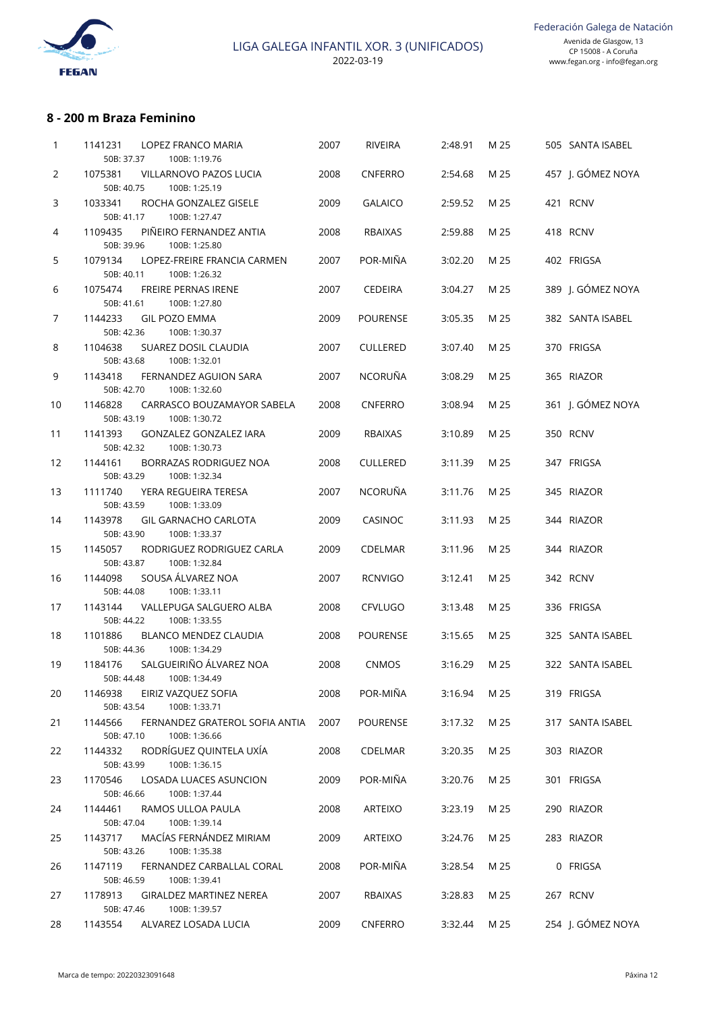

## **8 - 200 m Braza Feminino**

| 1  | 1141231<br>LOPEZ FRANCO MARIA<br>50B: 37.37<br>100B: 1:19.76                                 | 2007 | <b>RIVEIRA</b>  | 2:48.91 | M 25 |            | 505 SANTA ISABEL  |
|----|----------------------------------------------------------------------------------------------|------|-----------------|---------|------|------------|-------------------|
| 2  | 1075381<br>VILLARNOVO PAZOS LUCIA                                                            | 2008 | <b>CNFERRO</b>  | 2:54.68 | M 25 |            | 457 J. GÓMEZ NOYA |
| 3  | 50B: 40.75<br>100B: 1:25.19<br>1033341<br>ROCHA GONZALEZ GISELE                              | 2009 | <b>GALAICO</b>  | 2:59.52 | M 25 | 421 RCNV   |                   |
| 4  | 50B: 41.17<br>100B: 1:27.47<br>1109435<br>PIÑEIRO FERNANDEZ ANTIA                            | 2008 | <b>RBAIXAS</b>  | 2:59.88 | M 25 | 418 RCNV   |                   |
|    | 50B: 39.96<br>100B: 1:25.80                                                                  |      |                 |         |      |            |                   |
| 5  | 1079134<br>LOPEZ-FREIRE FRANCIA CARMEN<br>50B: 40.11<br>100B: 1:26.32                        | 2007 | POR-MIÑA        | 3:02.20 | M 25 | 402 FRIGSA |                   |
| 6  | 1075474<br>FREIRE PERNAS IRENE<br>100B: 1:27.80<br>50B: 41.61                                | 2007 | <b>CEDEIRA</b>  | 3:04.27 | M 25 |            | 389 J. GÓMEZ NOYA |
| 7  | 1144233<br><b>GIL POZO EMMA</b><br>50B: 42.36<br>100B: 1:30.37                               | 2009 | <b>POURENSE</b> | 3:05.35 | M 25 |            | 382 SANTA ISABEL  |
| 8  | 1104638<br>SUAREZ DOSIL CLAUDIA<br>50B: 43.68<br>100B: 1:32.01                               | 2007 | <b>CULLERED</b> | 3:07.40 | M 25 | 370 FRIGSA |                   |
| 9  | 1143418<br>FERNANDEZ AGUION SARA<br>50B: 42.70<br>100B: 1:32.60                              | 2007 | <b>NCORUÑA</b>  | 3:08.29 | M 25 | 365 RIAZOR |                   |
| 10 | 1146828<br>CARRASCO BOUZAMAYOR SABELA<br>50B: 43.19<br>100B: 1:30.72                         | 2008 | <b>CNFERRO</b>  | 3:08.94 | M 25 |            | 361 J. GÓMEZ NOYA |
| 11 | 1141393<br>GONZALEZ GONZALEZ IARA<br>50B: 42.32<br>100B: 1:30.73                             | 2009 | <b>RBAIXAS</b>  | 3:10.89 | M 25 | 350 RCNV   |                   |
| 12 | 1144161<br>BORRAZAS RODRIGUEZ NOA<br>50B: 43.29<br>100B: 1:32.34                             | 2008 | <b>CULLERED</b> | 3:11.39 | M 25 | 347 FRIGSA |                   |
| 13 | 1111740<br>YERA REGUEIRA TERESA<br>50B: 43.59<br>100B: 1:33.09                               | 2007 | <b>NCORUÑA</b>  | 3:11.76 | M 25 | 345 RIAZOR |                   |
| 14 | 1143978<br><b>GIL GARNACHO CARLOTA</b><br>50B: 43.90<br>100B: 1:33.37                        | 2009 | <b>CASINOC</b>  | 3:11.93 | M 25 | 344 RIAZOR |                   |
| 15 | 1145057<br>RODRIGUEZ RODRIGUEZ CARLA<br>50B: 43.87<br>100B: 1:32.84                          | 2009 | <b>CDELMAR</b>  | 3:11.96 | M 25 | 344 RIAZOR |                   |
| 16 | SOUSA ÁLVAREZ NOA<br>1144098<br>50B: 44.08<br>100B: 1:33.11                                  | 2007 | <b>RCNVIGO</b>  | 3:12.41 | M 25 | 342 RCNV   |                   |
| 17 | 1143144<br>VALLEPUGA SALGUERO ALBA<br>50B: 44.22<br>100B: 1:33.55                            | 2008 | CFVLUGO         | 3:13.48 | M 25 | 336 FRIGSA |                   |
| 18 | 1101886<br>BLANCO MENDEZ CLAUDIA<br>100B: 1:34.29<br>50B: 44.36                              | 2008 | <b>POURENSE</b> | 3:15.65 | M 25 |            | 325 SANTA ISABEL  |
| 19 | SALGUEIRIÑO ÁLVAREZ NOA<br>1184176                                                           | 2008 | <b>CNMOS</b>    | 3:16.29 | M 25 |            | 322 SANTA ISABEL  |
| 20 | 50B: 44.48<br>100B: 1:34.49<br>1146938<br>EIRIZ VAZQUEZ SOFIA<br>100B: 1:33.71<br>50B: 43.54 | 2008 | POR-MIÑA        | 3:16.94 | M 25 | 319 FRIGSA |                   |
| 21 | 1144566<br>FERNANDEZ GRATEROL SOFIA ANTIA<br>50B: 47.10<br>100B: 1:36.66                     | 2007 | <b>POURENSE</b> | 3:17.32 | M 25 |            | 317 SANTA ISABEL  |
| 22 | RODRÍGUEZ QUINTELA UXÍA<br>1144332<br>100B: 1:36.15<br>50B: 43.99                            | 2008 | CDELMAR         | 3:20.35 | M 25 | 303 RIAZOR |                   |
| 23 | 1170546<br>LOSADA LUACES ASUNCION<br>50B: 46.66<br>100B: 1:37.44                             | 2009 | POR-MIÑA        | 3:20.76 | M 25 | 301 FRIGSA |                   |
| 24 | 1144461<br>RAMOS ULLOA PAULA<br>50B: 47.04<br>100B: 1:39.14                                  | 2008 | ARTEIXO         | 3:23.19 | M 25 | 290 RIAZOR |                   |
| 25 | MACÍAS FERNÁNDEZ MIRIAM<br>1143717                                                           | 2009 | ARTEIXO         | 3:24.76 | M 25 | 283 RIAZOR |                   |
| 26 | 50B: 43.26<br>100B: 1:35.38<br>FERNANDEZ CARBALLAL CORAL<br>1147119                          | 2008 | POR-MIÑA        | 3:28.54 | M 25 |            | 0 FRIGSA          |
| 27 | 50B: 46.59<br>100B: 1:39.41<br>1178913<br><b>GIRALDEZ MARTINEZ NEREA</b>                     | 2007 | RBAIXAS         | 3:28.83 | M 25 | 267 RCNV   |                   |
| 28 | 50B: 47.46<br>100B: 1:39.57<br>ALVAREZ LOSADA LUCIA<br>1143554                               | 2009 | CNFERRO         | 3:32.44 | M 25 |            | 254 J. GÓMEZ NOYA |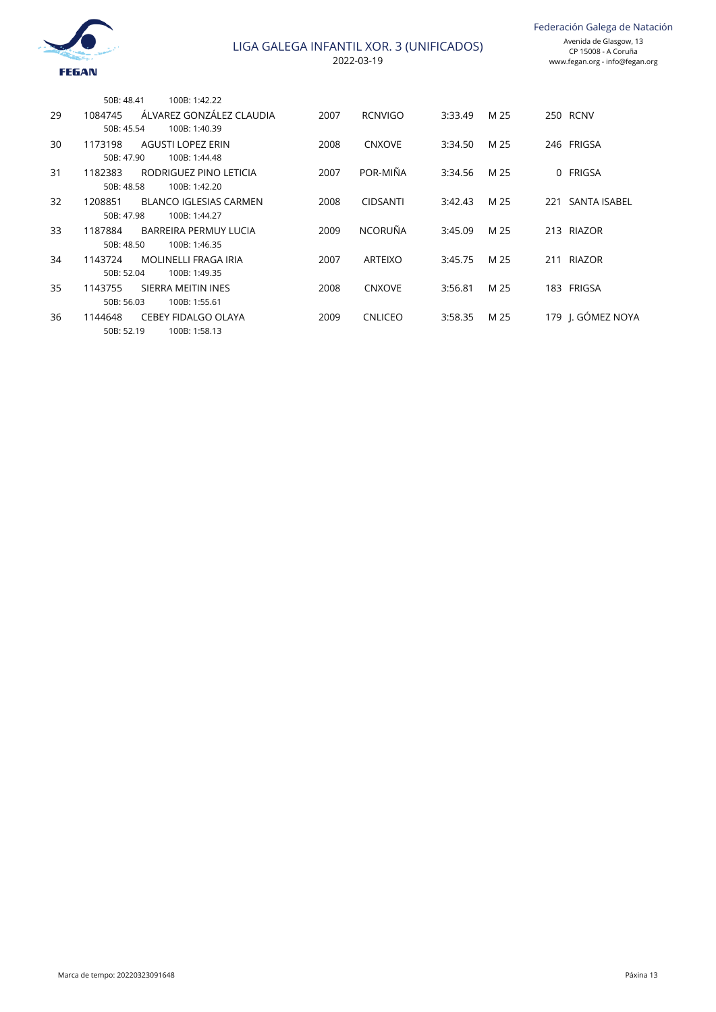

Federación Galega de Natación

|    | 50B: 48.41 | 100B: 1:42.22                 |      |                 |         |      |          |                   |
|----|------------|-------------------------------|------|-----------------|---------|------|----------|-------------------|
| 29 | 1084745    | ÁLVAREZ GONZÁLEZ CLAUDIA      | 2007 | <b>RCNVIGO</b>  | 3:33.49 | M 25 |          | <b>250 RCNV</b>   |
|    | 50B: 45.54 | 100B: 1:40.39                 |      |                 |         |      |          |                   |
| 30 | 1173198    | AGUSTI LOPEZ ERIN             | 2008 | <b>CNXOVE</b>   | 3:34.50 | M 25 |          | 246 FRIGSA        |
|    | 50B: 47.90 | 100B: 1:44.48                 |      |                 |         |      |          |                   |
| 31 | 1182383    | RODRIGUEZ PINO LETICIA        | 2007 | POR-MIÑA        | 3:34.56 | M 25 | $\Omega$ | FRIGSA            |
|    | 50B: 48.58 | 100B: 1:42.20                 |      |                 |         |      |          |                   |
| 32 | 1208851    | <b>BLANCO IGLESIAS CARMEN</b> | 2008 | <b>CIDSANTI</b> | 3:42.43 | M 25 |          | 221 SANTA ISABEL  |
|    | 50B: 47.98 | 100B: 1:44.27                 |      |                 |         |      |          |                   |
| 33 | 1187884    | BARREIRA PERMUY LUCIA         | 2009 | <b>NCORUÑA</b>  | 3:45.09 | M 25 |          | 213 RIAZOR        |
|    | 50B: 48.50 | 100B: 1:46.35                 |      |                 |         |      |          |                   |
| 34 | 1143724    | MOLINELLI FRAGA IRIA          | 2007 | <b>ARTEIXO</b>  | 3:45.75 | M 25 |          | 211 RIAZOR        |
|    | 50B: 52.04 | 100B: 1:49.35                 |      |                 |         |      |          |                   |
| 35 | 1143755    | SIERRA MEITIN INES            | 2008 | <b>CNXOVE</b>   | 3:56.81 | M 25 |          | 183 FRIGSA        |
|    | 50B: 56.03 | 100B: 1:55.61                 |      |                 |         |      |          |                   |
| 36 | 1144648    | <b>CEBEY FIDALGO OLAYA</b>    | 2009 | <b>CNLICEO</b>  | 3:58.35 | M 25 |          | 179 I. GÓMEZ NOYA |
|    | 50B: 52.19 | 100B: 1:58.13                 |      |                 |         |      |          |                   |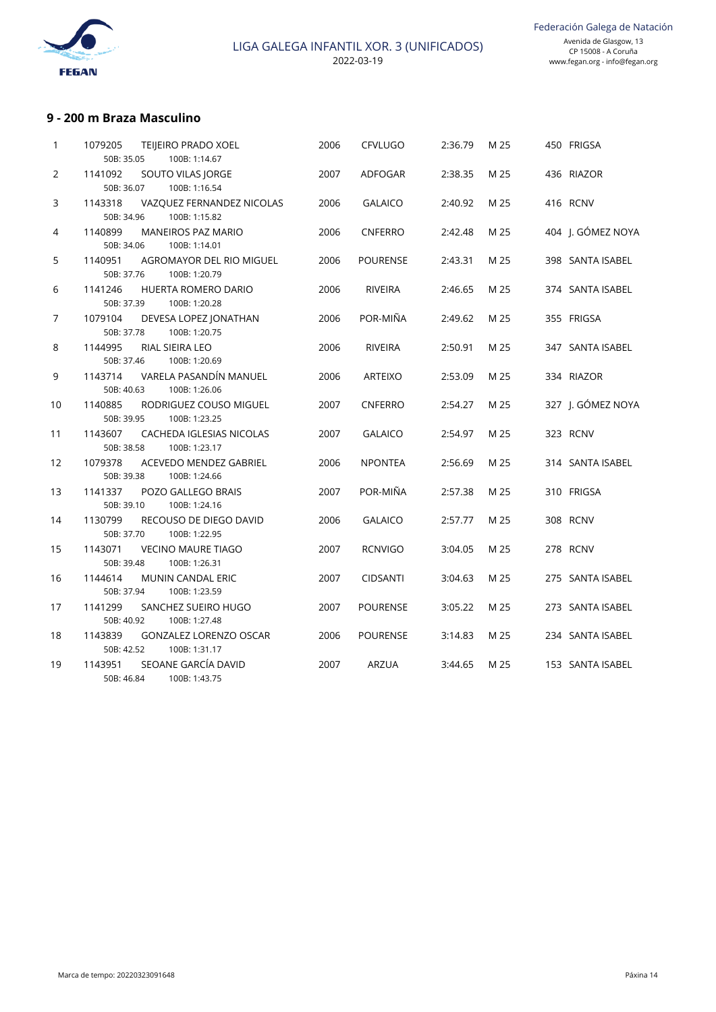

#### **9 - 200 m Braza Masculino**

| $\mathbf{1}$   | 1079205<br><b>TEIJEIRO PRADO XOEL</b><br>50B: 35.05<br>100B: 1:14.67    | 2006 | <b>CFVLUGO</b>  | 2:36.79 | M 25 | 450 FRIGSA        |
|----------------|-------------------------------------------------------------------------|------|-----------------|---------|------|-------------------|
| 2              | 1141092<br>SOUTO VILAS JORGE<br>50B: 36.07<br>100B: 1:16.54             | 2007 | ADFOGAR         | 2:38.35 | M 25 | 436 RIAZOR        |
| 3              | 1143318<br>VAZQUEZ FERNANDEZ NICOLAS<br>50B: 34.96<br>100B: 1:15.82     | 2006 | <b>GALAICO</b>  | 2:40.92 | M 25 | 416 RCNV          |
| 4              | 1140899<br><b>MANEIROS PAZ MARIO</b><br>50B: 34.06<br>100B: 1:14.01     | 2006 | <b>CNFERRO</b>  | 2:42.48 | M 25 | 404 J. GÓMEZ NOYA |
| 5              | 1140951<br>AGROMAYOR DEL RIO MIGUEL<br>50B: 37.76<br>100B: 1:20.79      | 2006 | <b>POURENSE</b> | 2:43.31 | M 25 | 398 SANTA ISABEL  |
| 6              | 1141246<br><b>HUERTA ROMERO DARIO</b><br>50B: 37.39<br>100B: 1:20.28    | 2006 | <b>RIVEIRA</b>  | 2:46.65 | M 25 | 374 SANTA ISABEL  |
| $\overline{7}$ | 1079104<br>DEVESA LOPEZ JONATHAN<br>50B: 37.78<br>100B: 1:20.75         | 2006 | POR-MIÑA        | 2:49.62 | M 25 | 355 FRIGSA        |
| 8              | 1144995<br>RIAL SIEIRA LEO<br>100B: 1:20.69<br>50B: 37.46               | 2006 | <b>RIVEIRA</b>  | 2:50.91 | M 25 | 347 SANTA ISABEL  |
| 9              | VARELA PASANDÍN MANUEL<br>1143714<br>50B: 40.63<br>100B: 1:26.06        | 2006 | <b>ARTEIXO</b>  | 2:53.09 | M 25 | 334 RIAZOR        |
| 10             | 1140885<br>RODRIGUEZ COUSO MIGUEL<br>50B: 39.95<br>100B: 1:23.25        | 2007 | <b>CNFERRO</b>  | 2:54.27 | M 25 | 327 J. GÓMEZ NOYA |
| 11             | 1143607<br>CACHEDA IGLESIAS NICOLAS<br>50B: 38.58<br>100B: 1:23.17      | 2007 | <b>GALAICO</b>  | 2:54.97 | M 25 | 323 RCNV          |
| 12             | 1079378<br>ACEVEDO MENDEZ GABRIEL<br>50B: 39.38<br>100B: 1:24.66        | 2006 | <b>NPONTEA</b>  | 2:56.69 | M 25 | 314 SANTA ISABEL  |
| 13             | 1141337<br>POZO GALLEGO BRAIS<br>50B: 39.10<br>100B: 1:24.16            | 2007 | POR-MIÑA        | 2:57.38 | M 25 | 310 FRIGSA        |
| 14             | 1130799<br>RECOUSO DE DIEGO DAVID<br>50B: 37.70<br>100B: 1:22.95        | 2006 | <b>GALAICO</b>  | 2:57.77 | M 25 | 308 RCNV          |
| 15             | <b>VECINO MAURE TIAGO</b><br>1143071<br>50B: 39.48<br>100B: 1:26.31     | 2007 | <b>RCNVIGO</b>  | 3:04.05 | M 25 | 278 RCNV          |
| 16             | 1144614<br><b>MUNIN CANDAL ERIC</b><br>50B: 37.94<br>100B: 1:23.59      | 2007 | <b>CIDSANTI</b> | 3:04.63 | M 25 | 275 SANTA ISABEL  |
| 17             | 1141299<br>SANCHEZ SUEIRO HUGO<br>50B: 40.92<br>100B: 1:27.48           | 2007 | <b>POURENSE</b> | 3:05.22 | M 25 | 273 SANTA ISABEL  |
| 18             | 1143839<br><b>GONZALEZ LORENZO OSCAR</b><br>50B: 42.52<br>100B: 1:31.17 | 2006 | <b>POURENSE</b> | 3:14.83 | M 25 | 234 SANTA ISABEL  |
| 19             | SEOANE GARCÍA DAVID<br>1143951<br>50B: 46.84<br>100B: 1:43.75           | 2007 | <b>ARZUA</b>    | 3:44.65 | M 25 | 153 SANTA ISABEL  |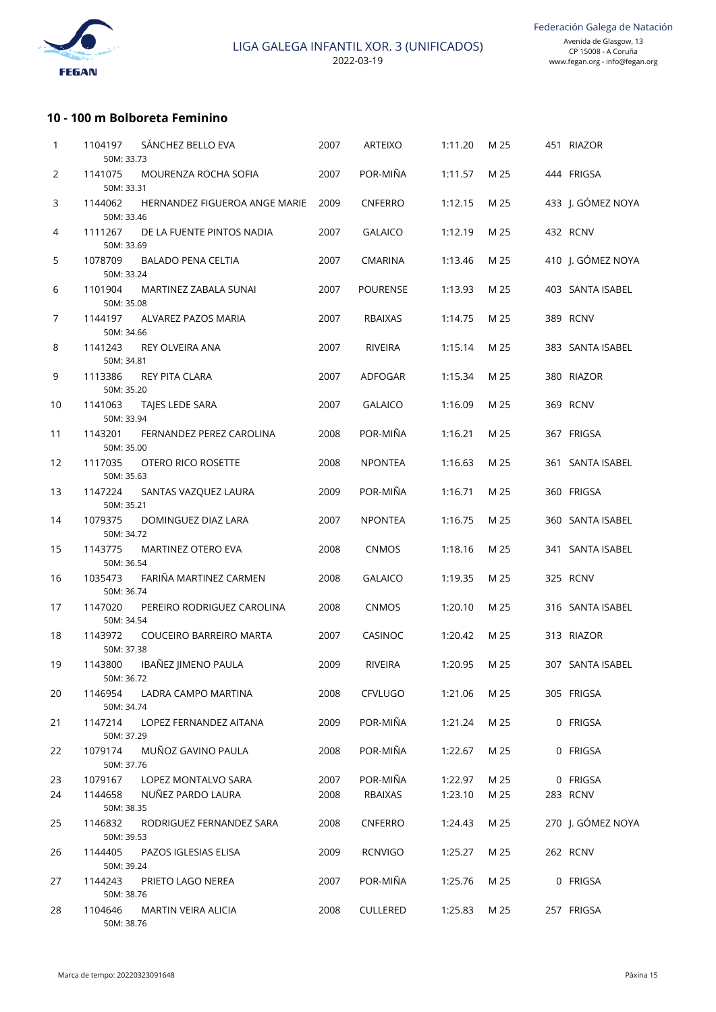

#### **10 - 100 m Bolboreta Feminino**

| 1  | 1104197                             | SÁNCHEZ BELLO EVA             | 2007 | <b>ARTEIXO</b>  | 1:11.20 | M 25 | 451 RIAZOR        |
|----|-------------------------------------|-------------------------------|------|-----------------|---------|------|-------------------|
| 2  | 50M: 33.73<br>1141075               | MOURENZA ROCHA SOFIA          | 2007 | POR-MIÑA        | 1:11.57 | M 25 | 444 FRIGSA        |
|    | 50M: 33.31                          |                               |      |                 |         |      |                   |
| 3  | 1144062<br>50M: 33.46               | HERNANDEZ FIGUEROA ANGE MARIE | 2009 | <b>CNFERRO</b>  | 1:12.15 | M 25 | 433 J. GÓMEZ NOYA |
| 4  | 1111267<br>50M: 33.69               | DE LA FUENTE PINTOS NADIA     | 2007 | <b>GALAICO</b>  | 1:12.19 | M 25 | 432 RCNV          |
| 5  | 1078709<br>50M: 33.24               | <b>BALADO PENA CELTIA</b>     | 2007 | <b>CMARINA</b>  | 1:13.46 | M 25 | 410 J. GÓMEZ NOYA |
| 6  | 1101904<br>50M: 35.08               | MARTINEZ ZABALA SUNAI         | 2007 | <b>POURENSE</b> | 1:13.93 | M 25 | 403 SANTA ISABEL  |
| 7  | 1144197<br>50M: 34.66               | ALVAREZ PAZOS MARIA           | 2007 | <b>RBAIXAS</b>  | 1:14.75 | M 25 | 389 RCNV          |
| 8  | 1141243<br>50M: 34.81               | REY OLVEIRA ANA               | 2007 | <b>RIVEIRA</b>  | 1:15.14 | M 25 | 383 SANTA ISABEL  |
| 9  | 1113386<br>50M: 35.20               | REY PITA CLARA                | 2007 | ADFOGAR         | 1:15.34 | M 25 | 380 RIAZOR        |
| 10 | 1141063<br>50M: 33.94               | TAJES LEDE SARA               | 2007 | <b>GALAICO</b>  | 1:16.09 | M 25 | 369 RCNV          |
| 11 | 1143201<br>50M: 35.00               | FERNANDEZ PEREZ CAROLINA      | 2008 | POR-MIÑA        | 1:16.21 | M 25 | 367 FRIGSA        |
| 12 | 1117035<br>50M: 35.63               | OTERO RICO ROSETTE            | 2008 | <b>NPONTEA</b>  | 1:16.63 | M 25 | 361 SANTA ISABEL  |
| 13 | 1147224<br>50M: 35.21               | SANTAS VAZQUEZ LAURA          | 2009 | POR-MIÑA        | 1:16.71 | M 25 | 360 FRIGSA        |
| 14 | 1079375<br>50M: 34.72               | DOMINGUEZ DIAZ LARA           | 2007 | <b>NPONTEA</b>  | 1:16.75 | M 25 | 360 SANTA ISABEL  |
| 15 | 1143775<br>50M: 36.54               | MARTINEZ OTERO EVA            | 2008 | <b>CNMOS</b>    | 1:18.16 | M 25 | 341 SANTA ISABEL  |
| 16 | 1035473<br>50M: 36.74               | FARIÑA MARTINEZ CARMEN        | 2008 | <b>GALAICO</b>  | 1:19.35 | M 25 | 325 RCNV          |
| 17 | 1147020                             | PEREIRO RODRIGUEZ CAROLINA    | 2008 | <b>CNMOS</b>    | 1:20.10 | M 25 | 316 SANTA ISABEL  |
| 18 | 50M: 34.54<br>1143972               | COUCEIRO BARREIRO MARTA       | 2007 | CASINOC         | 1:20.42 | M 25 | 313 RIAZOR        |
|    | 50M: 37.38                          |                               |      |                 |         |      |                   |
| 19 | 1143800<br>50M: 36.72               | IBAÑEZ JIMENO PAULA           | 2009 | <b>RIVEIRA</b>  | 1:20.95 | M 25 | 307 SANTA ISABEL  |
| 20 | 1146954<br>50M: 34.74               | LADRA CAMPO MARTINA           | 2008 | <b>CFVLUGO</b>  | 1:21.06 | M 25 | 305 FRIGSA        |
| 21 | 1147214<br>50M: 37.29               | LOPEZ FERNANDEZ AITANA        | 2009 | POR-MIÑA        | 1:21.24 | M 25 | 0 FRIGSA          |
| 22 | 1079174<br>50M: 37.76               | MUÑOZ GAVINO PAULA            | 2008 | POR-MIÑA        | 1:22.67 | M 25 | 0 FRIGSA          |
| 23 | 1079167                             | LOPEZ MONTALVO SARA           | 2007 | POR-MIÑA        | 1:22.97 | M 25 | 0 FRIGSA          |
| 24 | 1144658                             | NUÑEZ PARDO LAURA             | 2008 | RBAIXAS         | 1:23.10 | M 25 | 283 RCNV          |
| 25 | 50M: 38.35<br>1146832               | RODRIGUEZ FERNANDEZ SARA      | 2008 | <b>CNFERRO</b>  | 1:24.43 | M 25 | 270 J. GÓMEZ NOYA |
| 26 | 50M: 39.53<br>1144405               | PAZOS IGLESIAS ELISA          | 2009 | <b>RCNVIGO</b>  | 1:25.27 | M 25 | 262 RCNV          |
| 27 | 50M: 39.24<br>1144243               | PRIETO LAGO NEREA             | 2007 | POR-MIÑA        | 1:25.76 | M 25 | 0 FRIGSA          |
| 28 | 50M: 38.76<br>1104646<br>50M: 38.76 | MARTIN VEIRA ALICIA           | 2008 | <b>CULLERED</b> | 1:25.83 | M 25 | 257 FRIGSA        |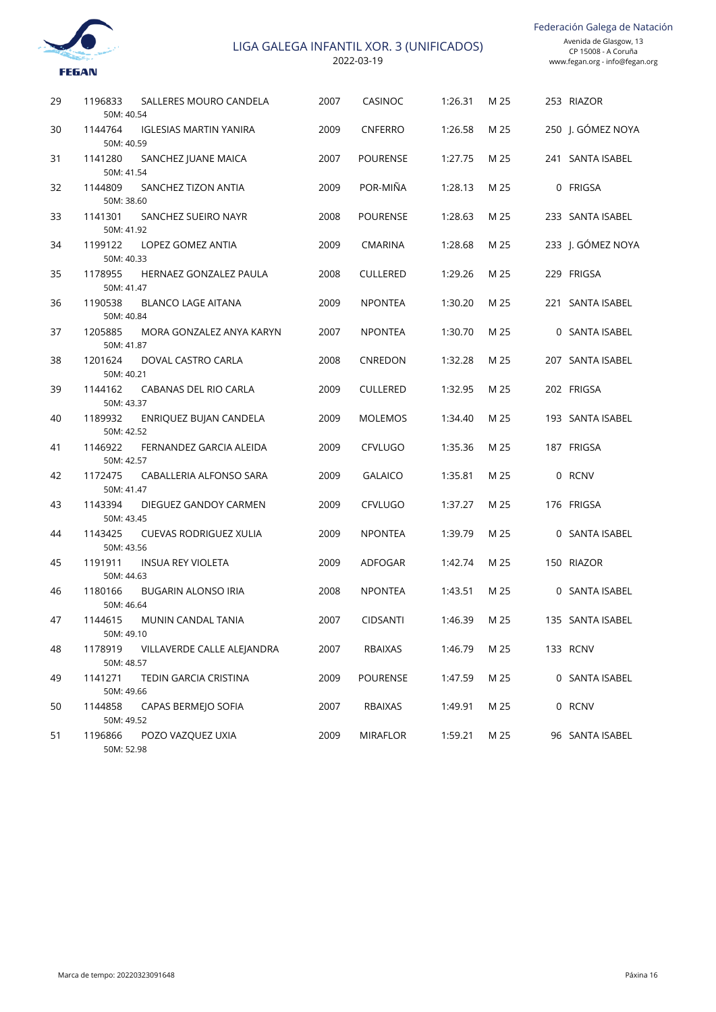

Federación Galega de Natación

| 29 | 1196833<br>SALLERES MOURO CANDELA<br>50M: 40.54        | 2007 | CASINOC         | 1:26.31 | M 25 | 253 RIAZOR        |
|----|--------------------------------------------------------|------|-----------------|---------|------|-------------------|
| 30 | 1144764<br><b>IGLESIAS MARTIN YANIRA</b><br>50M: 40.59 | 2009 | <b>CNFERRO</b>  | 1:26.58 | M 25 | 250 J. GÓMEZ NOYA |
| 31 | 1141280<br>SANCHEZ JUANE MAICA<br>50M: 41.54           | 2007 | <b>POURENSE</b> | 1:27.75 | M 25 | 241 SANTA ISABEL  |
| 32 | 1144809<br>SANCHEZ TIZON ANTIA<br>50M: 38.60           | 2009 | POR-MIÑA        | 1:28.13 | M 25 | 0 FRIGSA          |
| 33 | 1141301<br>SANCHEZ SUEIRO NAYR<br>50M: 41.92           | 2008 | <b>POURENSE</b> | 1:28.63 | M 25 | 233 SANTA ISABEL  |
| 34 | 1199122<br>LOPEZ GOMEZ ANTIA<br>50M: 40.33             | 2009 | <b>CMARINA</b>  | 1:28.68 | M 25 | 233 J. GÓMEZ NOYA |
| 35 | 1178955<br>HERNAEZ GONZALEZ PAULA<br>50M: 41.47        | 2008 | <b>CULLERED</b> | 1:29.26 | M 25 | 229 FRIGSA        |
| 36 | 1190538<br><b>BLANCO LAGE AITANA</b><br>50M: 40.84     | 2009 | <b>NPONTEA</b>  | 1:30.20 | M 25 | 221 SANTA ISABEL  |
| 37 | 1205885<br>MORA GONZALEZ ANYA KARYN<br>50M: 41.87      | 2007 | <b>NPONTEA</b>  | 1:30.70 | M 25 | 0 SANTA ISABEL    |
| 38 | 1201624<br>DOVAL CASTRO CARLA<br>50M: 40.21            | 2008 | CNREDON         | 1:32.28 | M 25 | 207 SANTA ISABEL  |
| 39 | 1144162<br>CABANAS DEL RIO CARLA<br>50M: 43.37         | 2009 | <b>CULLERED</b> | 1:32.95 | M 25 | 202 FRIGSA        |
| 40 | 1189932<br>ENRIQUEZ BUJAN CANDELA<br>50M: 42.52        | 2009 | <b>MOLEMOS</b>  | 1:34.40 | M 25 | 193 SANTA ISABEL  |
| 41 | 1146922<br>FERNANDEZ GARCIA ALEIDA<br>50M: 42.57       | 2009 | <b>CFVLUGO</b>  | 1:35.36 | M 25 | 187 FRIGSA        |
| 42 | 1172475<br>CABALLERIA ALFONSO SARA<br>50M: 41.47       | 2009 | <b>GALAICO</b>  | 1:35.81 | M 25 | 0 RCNV            |
| 43 | 1143394<br>DIEGUEZ GANDOY CARMEN<br>50M: 43.45         | 2009 | <b>CFVLUGO</b>  | 1:37.27 | M 25 | 176 FRIGSA        |
| 44 | 1143425<br><b>CUEVAS RODRIGUEZ XULIA</b><br>50M: 43.56 | 2009 | <b>NPONTEA</b>  | 1:39.79 | M 25 | 0 SANTA ISABEL    |
| 45 | 1191911<br><b>INSUA REY VIOLETA</b><br>50M: 44.63      | 2009 | ADFOGAR         | 1:42.74 | M 25 | 150 RIAZOR        |
| 46 | 1180166<br><b>BUGARIN ALONSO IRIA</b><br>50M: 46.64    | 2008 | <b>NPONTEA</b>  | 1:43.51 | M 25 | 0 SANTA ISABEL    |
| 47 | 1144615<br>MUNIN CANDAL TANIA<br>50M: 49.10            | 2007 | <b>CIDSANTI</b> | 1:46.39 | M 25 | 135 SANTA ISABEL  |
| 48 | 1178919<br>VILLAVERDE CALLE ALEJANDRA<br>50M: 48.57    | 2007 | RBAIXAS         | 1:46.79 | M 25 | 133 RCNV          |
| 49 | 1141271<br>TEDIN GARCIA CRISTINA<br>50M: 49.66         | 2009 | <b>POURENSE</b> | 1:47.59 | M 25 | 0 SANTA ISABEL    |
| 50 | 1144858<br>CAPAS BERMEJO SOFIA<br>50M: 49.52           | 2007 | RBAIXAS         | 1:49.91 | M 25 | 0 RCNV            |
| 51 | 1196866<br>POZO VAZQUEZ UXIA<br>50M: 52.98             | 2009 | <b>MIRAFLOR</b> | 1:59.21 | M 25 | 96 SANTA ISABEL   |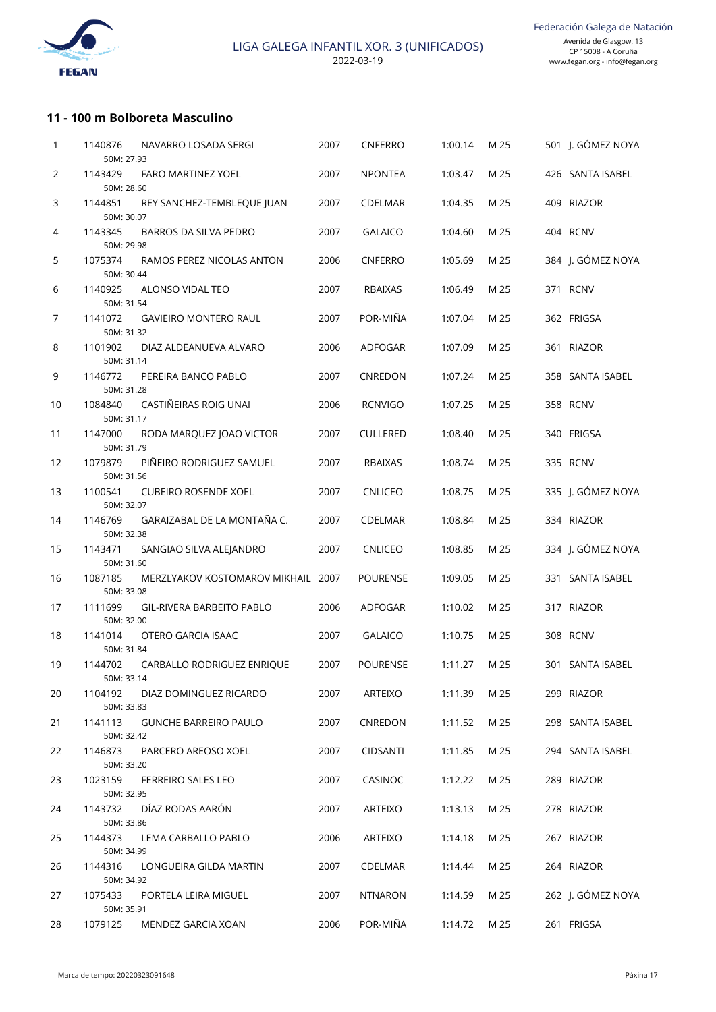

## **11 - 100 m Bolboreta Masculino**

| 1  | 1140876<br>50M: 27.93 | NAVARRO LOSADA SERGI               | 2007 | CNFERRO         | 1:00.14 | M 25 | 501 J. GÓMEZ NOYA |
|----|-----------------------|------------------------------------|------|-----------------|---------|------|-------------------|
| 2  | 1143429<br>50M: 28.60 | FARO MARTINEZ YOEL                 | 2007 | <b>NPONTEA</b>  | 1:03.47 | M 25 | 426 SANTA ISABEL  |
| 3  | 1144851<br>50M: 30.07 | REY SANCHEZ-TEMBLEQUE JUAN         | 2007 | CDELMAR         | 1:04.35 | M 25 | 409 RIAZOR        |
| 4  | 1143345<br>50M: 29.98 | BARROS DA SILVA PEDRO              | 2007 | <b>GALAICO</b>  | 1:04.60 | M 25 | 404 RCNV          |
| 5  | 1075374<br>50M: 30.44 | RAMOS PEREZ NICOLAS ANTON          | 2006 | <b>CNFERRO</b>  | 1:05.69 | M 25 | 384 J. GÓMEZ NOYA |
| 6  | 1140925<br>50M: 31.54 | ALONSO VIDAL TEO                   | 2007 | <b>RBAIXAS</b>  | 1:06.49 | M 25 | 371 RCNV          |
| 7  | 1141072<br>50M: 31.32 | <b>GAVIEIRO MONTERO RAUL</b>       | 2007 | POR-MIÑA        | 1:07.04 | M 25 | 362 FRIGSA        |
| 8  | 1101902<br>50M: 31.14 | DIAZ ALDEANUEVA ALVARO             | 2006 | ADFOGAR         | 1:07.09 | M 25 | 361 RIAZOR        |
| 9  | 1146772<br>50M: 31.28 | PEREIRA BANCO PABLO                | 2007 | CNREDON         | 1:07.24 | M 25 | 358 SANTA ISABEL  |
| 10 | 1084840<br>50M: 31.17 | CASTIÑEIRAS ROIG UNAI              | 2006 | <b>RCNVIGO</b>  | 1:07.25 | M 25 | 358 RCNV          |
| 11 | 1147000<br>50M: 31.79 | RODA MARQUEZ JOAO VICTOR           | 2007 | <b>CULLERED</b> | 1:08.40 | M 25 | 340 FRIGSA        |
| 12 | 1079879<br>50M: 31.56 | PIÑEIRO RODRIGUEZ SAMUEL           | 2007 | <b>RBAIXAS</b>  | 1:08.74 | M 25 | 335 RCNV          |
| 13 | 1100541<br>50M: 32.07 | <b>CUBEIRO ROSENDE XOEL</b>        | 2007 | <b>CNLICEO</b>  | 1:08.75 | M 25 | 335 J. GÓMEZ NOYA |
| 14 | 1146769<br>50M: 32.38 | GARAIZABAL DE LA MONTAÑA C.        | 2007 | CDELMAR         | 1:08.84 | M 25 | 334 RIAZOR        |
| 15 | 1143471<br>50M: 31.60 | SANGIAO SILVA ALEJANDRO            | 2007 | <b>CNLICEO</b>  | 1:08.85 | M 25 | 334 J. GÓMEZ NOYA |
| 16 | 1087185<br>50M: 33.08 | MERZLYAKOV KOSTOMAROV MIKHAIL 2007 |      | <b>POURENSE</b> | 1:09.05 | M 25 | 331 SANTA ISABEL  |
| 17 | 1111699<br>50M: 32.00 | <b>GIL-RIVERA BARBEITO PABLO</b>   | 2006 | ADFOGAR         | 1:10.02 | M 25 | 317 RIAZOR        |
| 18 | 1141014<br>50M: 31.84 | OTERO GARCIA ISAAC                 | 2007 | <b>GALAICO</b>  | 1:10.75 | M 25 | 308 RCNV          |
| 19 | 1144702<br>50M: 33.14 | CARBALLO RODRIGUEZ ENRIQUE         | 2007 | <b>POURENSE</b> | 1:11.27 | M 25 | 301 SANTA ISABEL  |
| 20 | 1104192<br>50M: 33.83 | DIAZ DOMINGUEZ RICARDO             | 2007 | ARTEIXO         | 1:11.39 | M 25 | 299 RIAZOR        |
| 21 | 1141113<br>50M: 32.42 | <b>GUNCHE BARREIRO PAULO</b>       | 2007 | CNREDON         | 1:11.52 | M 25 | 298 SANTA ISABEL  |
| 22 | 1146873<br>50M: 33.20 | PARCERO AREOSO XOEL                | 2007 | <b>CIDSANTI</b> | 1:11.85 | M 25 | 294 SANTA ISABEL  |
| 23 | 1023159<br>50M: 32.95 | FERREIRO SALES LEO                 | 2007 | CASINOC         | 1:12.22 | M 25 | 289 RIAZOR        |
| 24 | 1143732<br>50M: 33.86 | DÍAZ RODAS AARÓN                   | 2007 | ARTEIXO         | 1:13.13 | M 25 | 278 RIAZOR        |
| 25 | 1144373<br>50M: 34.99 | LEMA CARBALLO PABLO                | 2006 | ARTEIXO         | 1:14.18 | M 25 | 267 RIAZOR        |
| 26 | 1144316<br>50M: 34.92 | LONGUEIRA GILDA MARTIN             | 2007 | CDELMAR         | 1:14.44 | M 25 | 264 RIAZOR        |
| 27 | 1075433<br>50M: 35.91 | PORTELA LEIRA MIGUEL               | 2007 | <b>NTNARON</b>  | 1:14.59 | M 25 | 262 J. GÓMEZ NOYA |
| 28 | 1079125               | MENDEZ GARCIA XOAN                 | 2006 | POR-MIÑA        | 1:14.72 | M 25 | 261 FRIGSA        |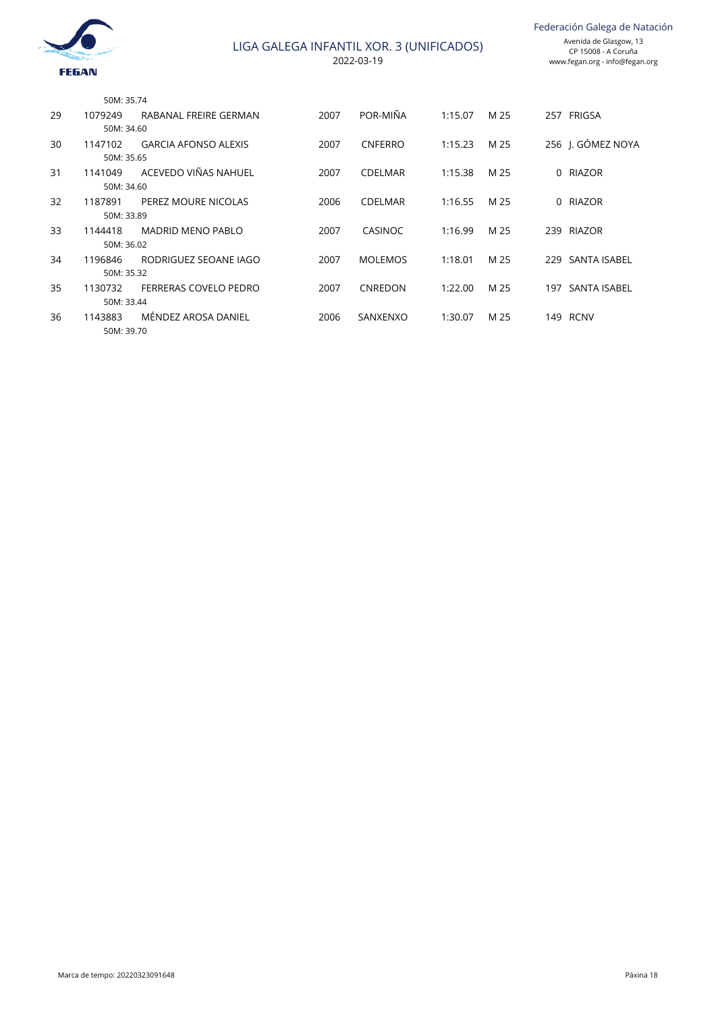

|    | 50M: 35.74 |                             |      |                |         |      |                   |
|----|------------|-----------------------------|------|----------------|---------|------|-------------------|
| 29 | 1079249    | RABANAL FREIRE GERMAN       | 2007 | POR-MIÑA       | 1:15.07 | M 25 | 257 FRIGSA        |
|    | 50M: 34.60 |                             |      |                |         |      |                   |
| 30 | 1147102    | <b>GARCIA AFONSO ALEXIS</b> | 2007 | <b>CNFERRO</b> | 1:15.23 | M 25 | 256 I. GÓMEZ NOYA |
|    | 50M: 35.65 |                             |      |                |         |      |                   |
| 31 | 1141049    | ACEVEDO VIÑAS NAHUEL        | 2007 | <b>CDELMAR</b> | 1:15.38 | M 25 | 0 RIAZOR          |
|    | 50M: 34.60 |                             |      |                |         |      |                   |
| 32 | 1187891    | PEREZ MOURE NICOLAS         | 2006 | <b>CDELMAR</b> | 1:16.55 | M 25 | 0 RIAZOR          |
|    | 50M: 33.89 |                             |      |                |         |      |                   |
| 33 | 1144418    | <b>MADRID MENO PABLO</b>    | 2007 | CASINOC        | 1:16.99 | M 25 | 239 RIAZOR        |
|    | 50M: 36.02 |                             |      |                |         |      |                   |
| 34 | 1196846    | RODRIGUEZ SEOANE IAGO       | 2007 | <b>MOLEMOS</b> | 1:18.01 | M 25 | 229 SANTA ISABEL  |
|    | 50M: 35.32 |                             |      |                |         |      |                   |
| 35 | 1130732    | FERRERAS COVELO PEDRO       | 2007 | <b>CNREDON</b> | 1:22.00 | M 25 | 197 SANTA ISABEL  |
|    | 50M: 33.44 |                             |      |                |         |      |                   |
| 36 | 1143883    | MÉNDEZ AROSA DANIEL         | 2006 | SANXENXO       | 1:30.07 | M 25 | 149 RCNV          |
|    | 50M: 39.70 |                             |      |                |         |      |                   |
|    |            |                             |      |                |         |      |                   |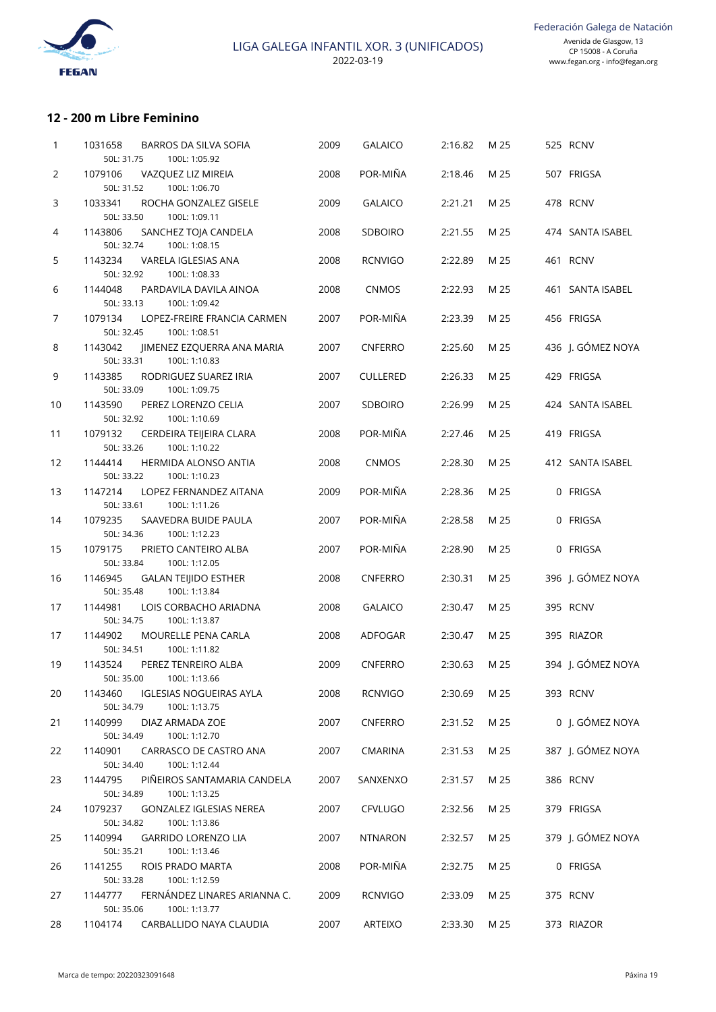

## **12 - 200 m Libre Feminino**

| 1              | <b>BARROS DA SILVA SOFIA</b><br>1031658<br>50L: 31.75<br>100L: 1:05.92   | 2009 | <b>GALAICO</b>  | 2:16.82 | M 25 | 525 RCNV          |
|----------------|--------------------------------------------------------------------------|------|-----------------|---------|------|-------------------|
| 2              | 1079106<br>VAZQUEZ LIZ MIREIA                                            | 2008 | POR-MIÑA        | 2:18.46 | M 25 | 507 FRIGSA        |
|                | 50L: 31.52<br>100L: 1:06.70                                              |      |                 |         |      |                   |
| 3              | 1033341<br>ROCHA GONZALEZ GISELE<br>50L: 33.50<br>100L: 1:09.11          | 2009 | <b>GALAICO</b>  | 2:21.21 | M 25 | 478 RCNV          |
| 4              | 1143806<br>SANCHEZ TOJA CANDELA<br>50L: 32.74<br>100L: 1:08.15           | 2008 | <b>SDBOIRO</b>  | 2:21.55 | M 25 | 474 SANTA ISABEL  |
| 5              | 1143234<br>VARELA IGLESIAS ANA                                           | 2008 | <b>RCNVIGO</b>  | 2:22.89 | M 25 | 461 RCNV          |
| 6              | 50L: 32.92<br>100L: 1:08.33<br>1144048<br>PARDAVILA DAVILA AINOA         | 2008 | <b>CNMOS</b>    | 2:22.93 | M 25 | 461 SANTA ISABEL  |
| $\overline{7}$ | 50L: 33.13<br>100L: 1:09.42<br>1079134<br>LOPEZ-FREIRE FRANCIA CARMEN    | 2007 | POR-MIÑA        | 2:23.39 | M 25 | 456 FRIGSA        |
|                | 50L: 32.45<br>100L: 1:08.51                                              |      |                 |         |      |                   |
| 8              | 1143042<br>JIMENEZ EZQUERRA ANA MARIA<br>50L: 33.31<br>100L: 1:10.83     | 2007 | <b>CNFERRO</b>  | 2:25.60 | M 25 | 436 J. GÓMEZ NOYA |
| 9              | 1143385<br>RODRIGUEZ SUAREZ IRIA<br>50L: 33.09<br>100L: 1:09.75          | 2007 | <b>CULLERED</b> | 2:26.33 | M 25 | 429 FRIGSA        |
| 10             | 1143590<br>PEREZ LORENZO CELIA<br>50L: 32.92<br>100L: 1:10.69            | 2007 | <b>SDBOIRO</b>  | 2:26.99 | M 25 | 424 SANTA ISABEL  |
| 11             | 1079132<br>CERDEIRA TEIJEIRA CLARA<br>50L: 33.26<br>100L: 1:10.22        | 2008 | POR-MIÑA        | 2:27.46 | M 25 | 419 FRIGSA        |
| 12             | 1144414<br><b>HERMIDA ALONSO ANTIA</b><br>50L: 33.22<br>100L: 1:10.23    | 2008 | <b>CNMOS</b>    | 2:28.30 | M 25 | 412 SANTA ISABEL  |
| 13             | 1147214<br>LOPEZ FERNANDEZ AITANA<br>50L: 33.61<br>100L: 1:11.26         | 2009 | POR-MIÑA        | 2:28.36 | M 25 | 0 FRIGSA          |
| 14             | 1079235<br>SAAVEDRA BUIDE PAULA<br>50L: 34.36<br>100L: 1:12.23           | 2007 | POR-MIÑA        | 2:28.58 | M 25 | 0 FRIGSA          |
| 15             | 1079175<br>PRIETO CANTEIRO ALBA                                          | 2007 | POR-MIÑA        | 2:28.90 | M 25 | 0 FRIGSA          |
| 16             | 50L: 33.84<br>100L: 1:12.05<br>1146945<br><b>GALAN TEIJIDO ESTHER</b>    | 2008 | <b>CNFERRO</b>  | 2:30.31 | M 25 | 396 J. GÓMEZ NOYA |
| 17             | 50L: 35.48<br>100L: 1:13.84<br>1144981<br>LOIS CORBACHO ARIADNA          | 2008 | <b>GALAICO</b>  | 2:30.47 | M 25 | 395 RCNV          |
| 17             | 50L: 34.75<br>100L: 1:13.87<br>1144902<br><b>MOURELLE PENA CARLA</b>     | 2008 | <b>ADFOGAR</b>  | 2:30.47 | M 25 | 395 RIAZOR        |
|                | 50L: 34.51<br>100L: 1:11.82                                              |      |                 |         |      |                   |
| 19             | 1143524<br>PEREZ TENREIRO ALBA                                           | 2009 | <b>CNFERRO</b>  | 2:30.63 | M 25 | 394 I. GÓMEZ NOYA |
| 20             | 50L: 35.00 100L: 1:13.66<br><b>IGLESIAS NOGUEIRAS AYLA</b><br>1143460    | 2008 | <b>RCNVIGO</b>  | 2:30.69 | M 25 | 393 RCNV          |
| 21             | 50L: 34.79<br>100L: 1:13.75<br>1140999<br>DIAZ ARMADA ZOE                | 2007 | <b>CNFERRO</b>  | 2:31.52 | M 25 | 0 J. GÓMEZ NOYA   |
|                | 50L: 34.49<br>100L: 1:12.70                                              |      |                 |         |      | 387 J. GÓMEZ NOYA |
| 22             | 1140901<br>CARRASCO DE CASTRO ANA<br>50L: 34.40<br>100L: 1:12.44         | 2007 | <b>CMARINA</b>  | 2:31.53 | M 25 |                   |
| 23             | PIÑEIROS SANTAMARIA CANDELA<br>1144795<br>50L: 34.89<br>100L: 1:13.25    | 2007 | SANXENXO        | 2:31.57 | M 25 | 386 RCNV          |
| 24             | 1079237<br><b>GONZALEZ IGLESIAS NEREA</b><br>50L: 34.82<br>100L: 1:13.86 | 2007 | <b>CFVLUGO</b>  | 2:32.56 | M 25 | 379 FRIGSA        |
| 25             | 1140994<br><b>GARRIDO LORENZO LIA</b>                                    | 2007 | <b>NTNARON</b>  | 2:32.57 | M 25 | 379 J. GÓMEZ NOYA |
| 26             | 100L: 1:13.46<br>50L: 35.21<br>1141255<br>ROIS PRADO MARTA               | 2008 | POR-MIÑA        | 2:32.75 | M 25 | 0 FRIGSA          |
| 27             | 50L: 33.28<br>100L: 1:12.59<br>FERNÁNDEZ LINARES ARIANNA C.<br>1144777   | 2009 | RCNVIGO         | 2:33.09 | M 25 | 375 RCNV          |
| 28             | 50L: 35.06<br>100L: 1:13.77<br>1104174<br>CARBALLIDO NAYA CLAUDIA        | 2007 | ARTEIXO         | 2:33.30 | M 25 | 373 RIAZOR        |
|                |                                                                          |      |                 |         |      |                   |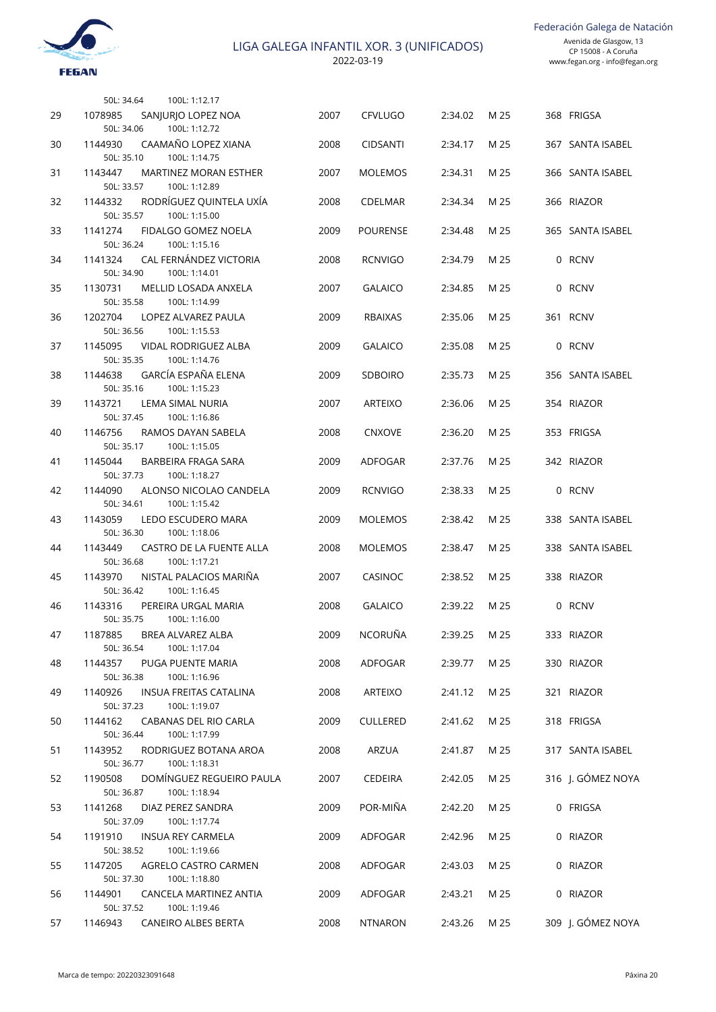2022-03-19

|    | 50L: 34.64<br>100L: 1:12.17                                            |      |                 |         |      |                   |
|----|------------------------------------------------------------------------|------|-----------------|---------|------|-------------------|
| 29 | 1078985<br>SANJURJO LOPEZ NOA<br>100L: 1:12.72<br>50L: 34.06           | 2007 | <b>CFVLUGO</b>  | 2:34.02 | M 25 | 368 FRIGSA        |
| 30 | CAAMAÑO LOPEZ XIANA<br>1144930<br>50L: 35.10<br>100L: 1:14.75          | 2008 | <b>CIDSANTI</b> | 2:34.17 | M 25 | 367 SANTA ISABEL  |
| 31 | 1143447<br><b>MARTINEZ MORAN ESTHER</b><br>50L: 33.57<br>100L: 1:12.89 | 2007 | <b>MOLEMOS</b>  | 2:34.31 | M 25 | 366 SANTA ISABEL  |
| 32 | RODRÍGUEZ QUINTELA UXÍA<br>1144332                                     | 2008 | <b>CDELMAR</b>  | 2:34.34 | M 25 | 366 RIAZOR        |
| 33 | 50L: 35.57<br>100L: 1:15.00<br>1141274<br>FIDALGO GOMEZ NOELA          | 2009 | POURENSE        | 2:34.48 | M 25 | 365 SANTA ISABEL  |
| 34 | 50L: 36.24<br>100L: 1:15.16<br>CAL FERNÁNDEZ VICTORIA<br>1141324       | 2008 | <b>RCNVIGO</b>  | 2:34.79 | M 25 | 0 RCNV            |
| 35 | 50L: 34.90<br>100L: 1:14.01<br>1130731<br>MELLID LOSADA ANXELA         | 2007 | <b>GALAICO</b>  | 2:34.85 | M 25 | 0 RCNV            |
| 36 | 50L: 35.58<br>100L: 1:14.99<br>1202704<br>LOPEZ ALVAREZ PAULA          | 2009 | <b>RBAIXAS</b>  | 2:35.06 | M 25 | 361 RCNV          |
| 37 | 50L: 36.56<br>100L: 1:15.53<br>1145095<br>VIDAL RODRIGUEZ ALBA         | 2009 | <b>GALAICO</b>  | 2:35.08 | M 25 | 0 RCNV            |
| 38 | 50L: 35.35<br>100L: 1:14.76<br><b>GARCÍA ESPAÑA ELENA</b><br>1144638   | 2009 | <b>SDBOIRO</b>  | 2:35.73 | M 25 | 356 SANTA ISABEL  |
| 39 | 50L: 35.16<br>100L: 1:15.23<br>1143721<br><b>LEMA SIMAL NURIA</b>      | 2007 | <b>ARTEIXO</b>  | 2:36.06 | M 25 | 354 RIAZOR        |
| 40 | 50L: 37.45<br>100L: 1:16.86<br>1146756<br>RAMOS DAYAN SABELA           | 2008 | <b>CNXOVE</b>   | 2:36.20 | M 25 | 353 FRIGSA        |
| 41 | 50L: 35.17<br>100L: 1:15.05<br>1145044<br>BARBEIRA FRAGA SARA          | 2009 | ADFOGAR         | 2:37.76 | M 25 | 342 RIAZOR        |
| 42 | 50L: 37.73<br>100L: 1:18.27<br>1144090<br>ALONSO NICOLAO CANDELA       | 2009 | <b>RCNVIGO</b>  | 2:38.33 | M 25 | 0 RCNV            |
| 43 | 50L: 34.61<br>100L: 1:15.42<br>1143059<br>LEDO ESCUDERO MARA           | 2009 | <b>MOLEMOS</b>  | 2:38.42 | M 25 | 338 SANTA ISABEL  |
| 44 | 50L: 36.30<br>100L: 1:18.06<br>1143449<br>CASTRO DE LA FUENTE ALLA     | 2008 | <b>MOLEMOS</b>  | 2:38.47 | M 25 | 338 SANTA ISABEL  |
|    | 50L: 36.68<br>100L: 1:17.21                                            |      |                 |         |      |                   |
| 45 | NISTAL PALACIOS MARIÑA<br>1143970<br>50L: 36.42<br>100L: 1:16.45       | 2007 | CASINOC         | 2:38.52 | M 25 | 338 RIAZOR        |
| 46 | 1143316<br>PEREIRA URGAL MARIA<br>50L: 35.75<br>100L: 1:16.00          | 2008 | <b>GALAICO</b>  | 2:39.22 | M 25 | 0 RCNV            |
| 47 | 1187885<br>BREA ALVAREZ ALBA<br>50L: 36.54<br>100L: 1:17.04            | 2009 | NCORUÑA         | 2:39.25 | M 25 | 333 RIAZOR        |
| 48 | 1144357<br>PUGA PUENTE MARIA<br>100L: 1:16.96<br>50L: 36.38            | 2008 | ADFOGAR         | 2:39.77 | M 25 | 330 RIAZOR        |
| 49 | INSUA FREITAS CATALINA<br>1140926<br>100L: 1:19.07<br>50L: 37.23       | 2008 | ARTEIXO         | 2:41.12 | M 25 | 321 RIAZOR        |
| 50 | 1144162<br>CABANAS DEL RIO CARLA<br>100L: 1:17.99<br>50L: 36.44        | 2009 | <b>CULLERED</b> | 2:41.62 | M 25 | 318 FRIGSA        |
| 51 | 1143952<br>RODRIGUEZ BOTANA AROA<br>100L: 1:18.31<br>50L: 36.77        | 2008 | ARZUA           | 2:41.87 | M 25 | 317 SANTA ISABEL  |
| 52 | DOMÍNGUEZ REGUEIRO PAULA<br>1190508<br>100L: 1:18.94<br>50L: 36.87     | 2007 | <b>CEDEIRA</b>  | 2:42.05 | M 25 | 316 J. GÓMEZ NOYA |
| 53 | 1141268<br>DIAZ PEREZ SANDRA<br>100L: 1:17.74<br>50L: 37.09            | 2009 | POR-MIÑA        | 2:42.20 | M 25 | 0 FRIGSA          |
| 54 | 1191910<br><b>INSUA REY CARMELA</b><br>50L: 38.52<br>100L: 1:19.66     | 2009 | ADFOGAR         | 2:42.96 | M 25 | 0 RIAZOR          |
| 55 | 1147205<br>AGRELO CASTRO CARMEN                                        | 2008 | ADFOGAR         | 2:43.03 | M 25 | 0 RIAZOR          |
| 56 | 100L: 1:18.80<br>50L: 37.30<br>1144901<br>CANCELA MARTINEZ ANTIA       | 2009 | ADFOGAR         | 2:43.21 | M 25 | 0 RIAZOR          |
| 57 | 100L: 1:19.46<br>50L: 37.52<br>1146943<br>CANEIRO ALBES BERTA          | 2008 | NTNARON         | 2:43.26 | M 25 | 309 J. GÓMEZ NOYA |

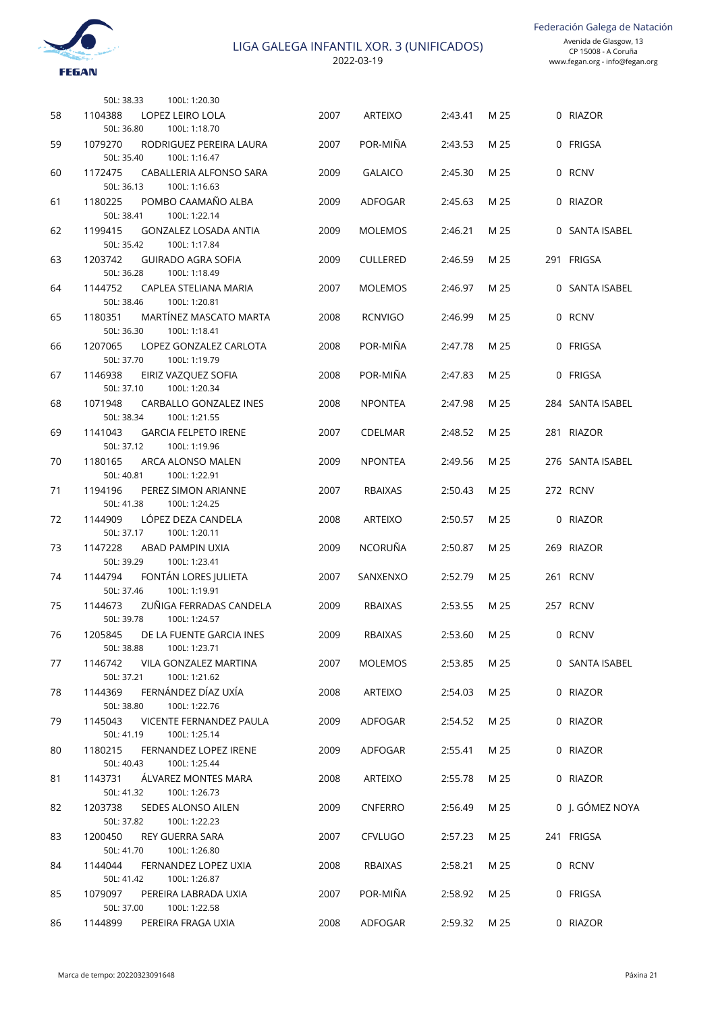Federación Galega de Natación



2022-03-19

|    | 50L: 38.33<br>100L: 1:20.30                                            |      |                 |         |      |                  |
|----|------------------------------------------------------------------------|------|-----------------|---------|------|------------------|
| 58 | 1104388<br>LOPEZ LEIRO LOLA<br>50L: 36.80<br>100L: 1:18.70             | 2007 | <b>ARTEIXO</b>  | 2:43.41 | M 25 | 0 RIAZOR         |
| 59 | 1079270<br>RODRIGUEZ PEREIRA LAURA<br>50L: 35.40<br>100L: 1:16.47      | 2007 | POR-MIÑA        | 2:43.53 | M 25 | 0 FRIGSA         |
| 60 | 1172475<br>CABALLERIA ALFONSO SARA<br>100L: 1:16.63<br>50L: 36.13      | 2009 | <b>GALAICO</b>  | 2:45.30 | M 25 | 0 RCNV           |
| 61 | 1180225<br>POMBO CAAMAÑO ALBA<br>100L: 1:22.14<br>50L: 38.41           | 2009 | ADFOGAR         | 2:45.63 | M 25 | 0 RIAZOR         |
| 62 | 1199415<br><b>GONZALEZ LOSADA ANTIA</b><br>50L: 35.42<br>100L: 1:17.84 | 2009 | <b>MOLEMOS</b>  | 2:46.21 | M 25 | 0 SANTA ISABEL   |
| 63 | 1203742<br><b>GUIRADO AGRA SOFIA</b><br>50L: 36.28<br>100L: 1:18.49    | 2009 | <b>CULLERED</b> | 2:46.59 | M 25 | 291 FRIGSA       |
| 64 | 1144752<br>CAPLEA STELIANA MARIA<br>50L: 38.46<br>100L: 1:20.81        | 2007 | <b>MOLEMOS</b>  | 2:46.97 | M 25 | 0 SANTA ISABEL   |
| 65 | MARTÍNEZ MASCATO MARTA<br>1180351<br>50L: 36.30<br>100L: 1:18.41       | 2008 | <b>RCNVIGO</b>  | 2:46.99 | M 25 | 0 RCNV           |
| 66 | 1207065<br>LOPEZ GONZALEZ CARLOTA<br>50L: 37.70<br>100L: 1:19.79       | 2008 | POR-MIÑA        | 2:47.78 | M 25 | 0 FRIGSA         |
| 67 | 1146938<br>EIRIZ VAZQUEZ SOFIA<br>50L: 37.10<br>100L: 1:20.34          | 2008 | POR-MIÑA        | 2:47.83 | M 25 | 0 FRIGSA         |
| 68 | 1071948<br>CARBALLO GONZALEZ INES<br>50L: 38.34<br>100L: 1:21.55       | 2008 | <b>NPONTEA</b>  | 2:47.98 | M 25 | 284 SANTA ISABEL |
| 69 | 1141043<br><b>GARCIA FELPETO IRENE</b><br>50L: 37.12<br>100L: 1:19.96  | 2007 | <b>CDELMAR</b>  | 2:48.52 | M 25 | 281 RIAZOR       |
| 70 | 1180165<br>ARCA ALONSO MALEN<br>50L: 40.81<br>100L: 1:22.91            | 2009 | <b>NPONTEA</b>  | 2:49.56 | M 25 | 276 SANTA ISABEL |
| 71 | 1194196<br>PEREZ SIMON ARIANNE<br>50L: 41.38<br>100L: 1:24.25          | 2007 | <b>RBAIXAS</b>  | 2:50.43 | M 25 | 272 RCNV         |
| 72 | 1144909<br>LÓPEZ DEZA CANDELA<br>50L: 37.17<br>100L: 1:20.11           | 2008 | <b>ARTEIXO</b>  | 2:50.57 | M 25 | 0 RIAZOR         |
| 73 | 1147228<br>ABAD PAMPIN UXIA<br>100L: 1:23.41<br>50L: 39.29             | 2009 | <b>NCORUÑA</b>  | 2:50.87 | M 25 | 269 RIAZOR       |
| 74 | 1144794<br>FONTÁN LORES JULIETA<br>50L: 37.46<br>100L: 1:19.91         | 2007 | SANXENXO        | 2:52.79 | M 25 | 261 RCNV         |
| 75 | 1144673<br>ZUÑIGA FERRADAS CANDELA<br>50L: 39.78<br>100L: 1:24.57      | 2009 | <b>RBAIXAS</b>  | 2:53.55 | M 25 | 257 RCNV         |
| 76 | 1205845<br>DE LA FUENTE GARCIA INES<br>100L: 1:23.71<br>50L: 38.88     | 2009 | RBAIXAS         | 2:53.60 | M 25 | 0 RCNV           |
| 77 | 1146742<br>VILA GONZALEZ MARTINA<br>100L: 1:21.62<br>50L: 37.21        | 2007 | <b>MOLEMOS</b>  | 2:53.85 | M 25 | 0 SANTA ISABEL   |
| 78 | FERNÁNDEZ DÍAZ UXÍA<br>1144369<br>100L: 1:22.76<br>50L: 38.80          | 2008 | <b>ARTEIXO</b>  | 2:54.03 | M 25 | 0 RIAZOR         |
| 79 | VICENTE FERNANDEZ PAULA<br>1145043<br>100L: 1:25.14<br>50L: 41.19      | 2009 | ADFOGAR         | 2:54.52 | M 25 | 0 RIAZOR         |
| 80 | FERNANDEZ LOPEZ IRENE<br>1180215<br>100L: 1:25.44<br>50L: 40.43        | 2009 | ADFOGAR         | 2:55.41 | M 25 | 0 RIAZOR         |
| 81 | 1143731<br>ÁLVAREZ MONTES MARA<br>100L: 1:26.73<br>50L: 41.32          | 2008 | ARTEIXO         | 2:55.78 | M 25 | 0 RIAZOR         |
| 82 | SEDES ALONSO AILEN<br>1203738<br>50L: 37.82<br>100L: 1:22.23           | 2009 | <b>CNFERRO</b>  | 2:56.49 | M 25 | 0 J. GÓMEZ NOYA  |
| 83 | <b>REY GUERRA SARA</b><br>1200450<br>100L: 1:26.80<br>50L: 41.70       | 2007 | <b>CFVLUGO</b>  | 2:57.23 | M 25 | 241 FRIGSA       |
| 84 | FERNANDEZ LOPEZ UXIA<br>1144044<br>100L: 1:26.87<br>50L: 41.42         | 2008 | RBAIXAS         | 2:58.21 | M 25 | 0 RCNV           |
| 85 | PEREIRA LABRADA UXIA<br>1079097<br>50L: 37.00<br>100L: 1:22.58         | 2007 | POR-MIÑA        | 2:58.92 | M 25 | 0 FRIGSA         |
| 86 | PEREIRA FRAGA UXIA<br>1144899                                          | 2008 | ADFOGAR         | 2:59.32 | M 25 | 0 RIAZOR         |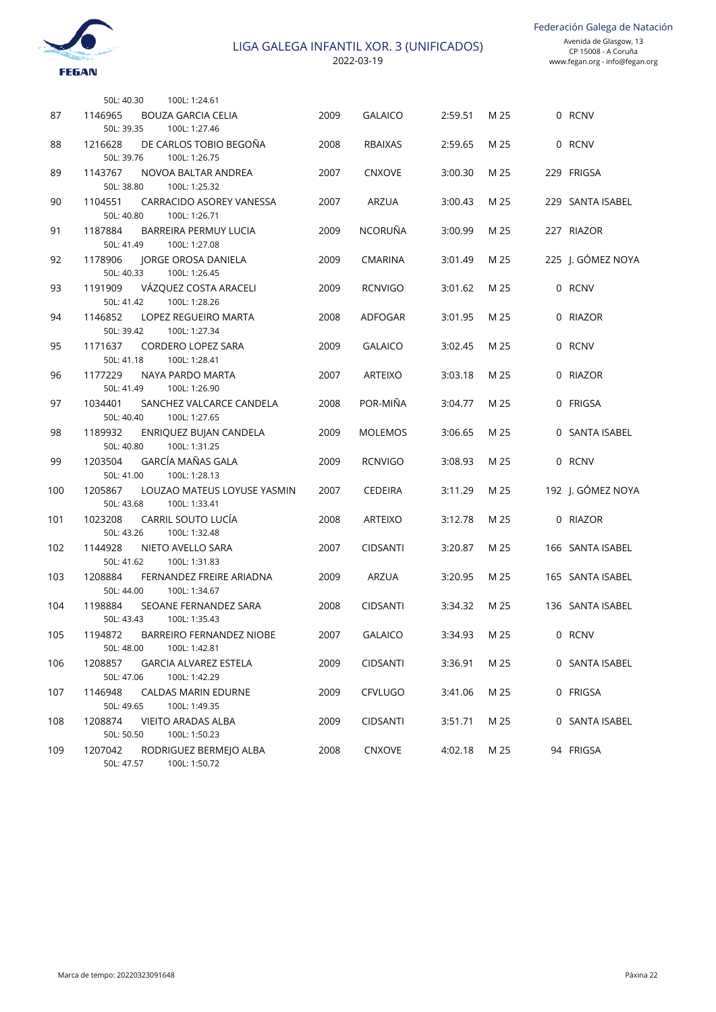Federación Galega de Natación



|     | 50L: 40.30            | 100L: 1:24.61                                 |      |                 |         |      |                   |
|-----|-----------------------|-----------------------------------------------|------|-----------------|---------|------|-------------------|
| 87  | 1146965<br>50L: 39.35 | <b>BOUZA GARCIA CELIA</b>                     | 2009 | <b>GALAICO</b>  | 2:59.51 | M 25 | 0 RCNV            |
| 88  | 1216628               | 100L: 1:27.46<br>DE CARLOS TOBIO BEGOÑA       | 2008 | <b>RBAIXAS</b>  | 2:59.65 | M 25 | 0 RCNV            |
| 89  | 50L: 39.76<br>1143767 | 100L: 1:26.75<br>NOVOA BALTAR ANDREA          | 2007 | <b>CNXOVE</b>   | 3:00.30 | M 25 | 229 FRIGSA        |
|     | 50L: 38.80            | 100L: 1:25.32                                 |      |                 |         |      |                   |
| 90  | 1104551<br>50L: 40.80 | CARRACIDO ASOREY VANESSA<br>100L: 1:26.71     | 2007 | ARZUA           | 3:00.43 | M 25 | 229 SANTA ISABEL  |
| 91  | 1187884<br>50L: 41.49 | <b>BARREIRA PERMUY LUCIA</b><br>100L: 1:27.08 | 2009 | <b>NCORUÑA</b>  | 3:00.99 | M 25 | 227 RIAZOR        |
| 92  | 1178906<br>50L: 40.33 | JORGE OROSA DANIELA                           | 2009 | <b>CMARINA</b>  | 3:01.49 | M 25 | 225 J. GÓMEZ NOYA |
| 93  | 1191909               | 100L: 1:26.45<br>VÁZQUEZ COSTA ARACELI        | 2009 | <b>RCNVIGO</b>  | 3:01.62 | M 25 | 0 RCNV            |
|     | 50L: 41.42<br>1146852 | 100L: 1:28.26                                 |      |                 |         |      |                   |
| 94  | 50L: 39.42            | LOPEZ REGUEIRO MARTA<br>100L: 1:27.34         | 2008 | ADFOGAR         | 3:01.95 | M 25 | 0 RIAZOR          |
| 95  | 1171637<br>50L: 41.18 | <b>CORDERO LOPEZ SARA</b><br>100L: 1:28.41    | 2009 | <b>GALAICO</b>  | 3:02.45 | M 25 | 0 RCNV            |
| 96  | 1177229<br>50L: 41.49 | NAYA PARDO MARTA<br>100L: 1:26.90             | 2007 | <b>ARTEIXO</b>  | 3:03.18 | M 25 | 0 RIAZOR          |
| 97  | 1034401               | SANCHEZ VALCARCE CANDELA                      | 2008 | POR-MIÑA        | 3:04.77 | M 25 | 0 FRIGSA          |
| 98  | 50L: 40.40<br>1189932 | 100L: 1:27.65<br>ENRIQUEZ BUJAN CANDELA       | 2009 | <b>MOLEMOS</b>  | 3:06.65 | M 25 | 0 SANTA ISABEL    |
|     | 50L: 40.80            | 100L: 1:31.25                                 |      |                 |         |      |                   |
| 99  | 1203504<br>50L: 41.00 | GARCÍA MAÑAS GALA<br>100L: 1:28.13            | 2009 | <b>RCNVIGO</b>  | 3:08.93 | M 25 | 0 RCNV            |
| 100 | 1205867               | LOUZAO MATEUS LOYUSE YASMIN                   | 2007 | <b>CEDEIRA</b>  | 3:11.29 | M 25 | 192 J. GÓMEZ NOYA |
| 101 | 50L: 43.68<br>1023208 | 100L: 1:33.41<br>CARRIL SOUTO LUCÍA           | 2008 | <b>ARTEIXO</b>  | 3:12.78 | M 25 | 0 RIAZOR          |
|     | 50L: 43.26            | 100L: 1:32.48                                 |      |                 |         |      |                   |
| 102 | 1144928<br>50L: 41.62 | NIETO AVELLO SARA<br>100L: 1:31.83            | 2007 | <b>CIDSANTI</b> | 3:20.87 | M 25 | 166 SANTA ISABEL  |
| 103 | 1208884               | FERNANDEZ FREIRE ARIADNA                      | 2009 | <b>ARZUA</b>    | 3:20.95 | M 25 | 165 SANTA ISABEL  |
| 104 | 50L: 44.00<br>1198884 | 100L: 1:34.67<br>SEOANE FERNANDEZ SARA        | 2008 | <b>CIDSANTI</b> | 3:34.32 | M 25 | 136 SANTA ISABEL  |
|     | 50L: 43.43            | 100L: 1:35.43                                 |      |                 |         |      |                   |
| 105 | 1194872<br>50L: 48.00 | BARREIRO FERNANDEZ NIOBE<br>100L: 1:42.81     | 2007 | <b>GALAICO</b>  | 3:34.93 | M 25 | 0 RCNV            |
| 106 | 1208857               | <b>GARCIA ALVAREZ ESTELA</b>                  | 2009 | <b>CIDSANTI</b> | 3:36.91 | M 25 | 0 SANTA ISABEL    |
|     | 50L: 47.06            | 100L: 1:42.29                                 |      |                 |         |      |                   |
| 107 | 1146948<br>50L: 49.65 | <b>CALDAS MARIN EDURNE</b><br>100L: 1:49.35   | 2009 | <b>CFVLUGO</b>  | 3:41.06 | M 25 | 0 FRIGSA          |
| 108 | 1208874               | <b>VIEITO ARADAS ALBA</b>                     | 2009 | <b>CIDSANTI</b> | 3:51.71 | M 25 | 0 SANTA ISABEL    |
|     | 50L: 50.50            | 100L: 1:50.23                                 |      |                 |         |      |                   |
| 109 | 1207042<br>50L: 47.57 | RODRIGUEZ BERMEJO ALBA<br>100L: 1:50.72       | 2008 | CNXOVE          | 4:02.18 | M 25 | 94 FRIGSA         |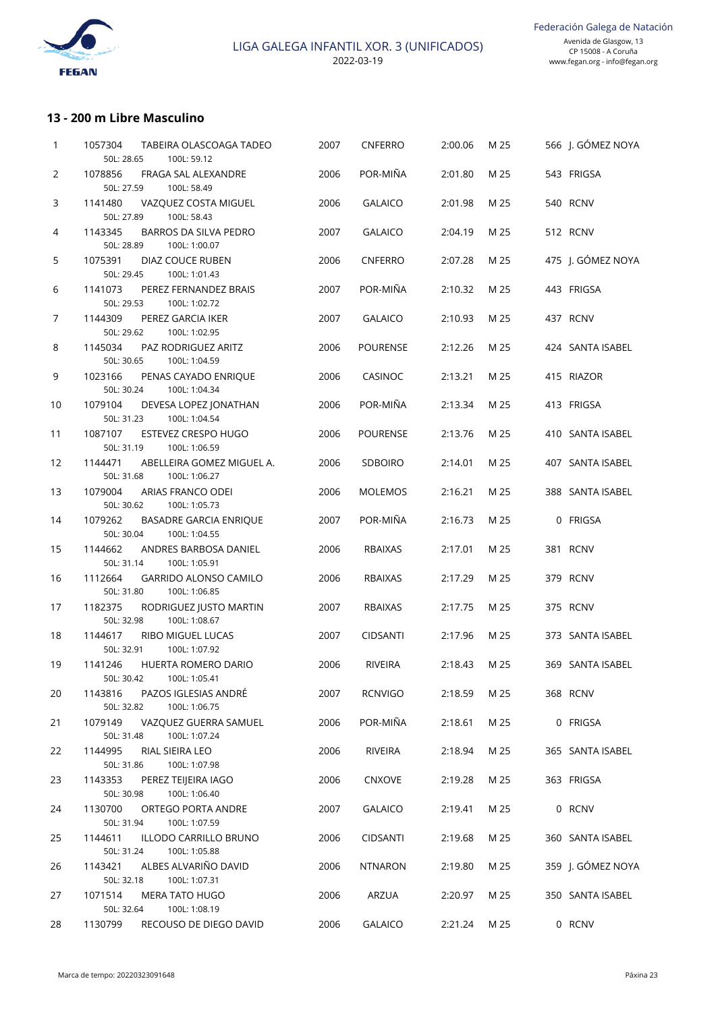

## **13 - 200 m Libre Masculino**

| 1              | 1057304<br>TABEIRA OLASCOAGA TADEO<br>50L: 28.65<br>100L: 59.12         | 2007 | CNFERRO         | 2:00.06 | M 25 | 566 J. GÓMEZ NOYA |
|----------------|-------------------------------------------------------------------------|------|-----------------|---------|------|-------------------|
| $\overline{2}$ | 1078856<br>FRAGA SAL ALEXANDRE                                          | 2006 | POR-MIÑA        | 2:01.80 | M 25 | 543 FRIGSA        |
|                | 50L: 27.59<br>100L: 58.49                                               |      |                 |         |      |                   |
| 3              | 1141480<br>VAZQUEZ COSTA MIGUEL<br>100L: 58.43<br>50L: 27.89            | 2006 | <b>GALAICO</b>  | 2:01.98 | M 25 | 540 RCNV          |
| 4              | 1143345<br>BARROS DA SILVA PEDRO<br>50L: 28.89<br>100L: 1:00.07         | 2007 | <b>GALAICO</b>  | 2:04.19 | M 25 | 512 RCNV          |
| 5              | 1075391<br>DIAZ COUCE RUBEN<br>50L: 29.45<br>100L: 1:01.43              | 2006 | <b>CNFERRO</b>  | 2:07.28 | M 25 | 475 J. GÓMEZ NOYA |
| 6              | 1141073<br>PEREZ FERNANDEZ BRAIS<br>50L: 29.53<br>100L: 1:02.72         | 2007 | POR-MIÑA        | 2:10.32 | M 25 | 443 FRIGSA        |
| $\overline{7}$ | 1144309<br>PEREZ GARCIA IKER<br>50L: 29.62<br>100L: 1:02.95             | 2007 | <b>GALAICO</b>  | 2:10.93 | M 25 | 437 RCNV          |
| 8              | PAZ RODRIGUEZ ARITZ<br>1145034<br>50L: 30.65<br>100L: 1:04.59           | 2006 | <b>POURENSE</b> | 2:12.26 | M 25 | 424 SANTA ISABEL  |
| 9              | 1023166<br>PENAS CAYADO ENRIQUE<br>100L: 1:04.34<br>50L: 30.24          | 2006 | CASINOC         | 2:13.21 | M 25 | 415 RIAZOR        |
| 10             | 1079104<br>DEVESA LOPEZ JONATHAN<br>100L: 1:04.54<br>50L: 31.23         | 2006 | POR-MIÑA        | 2:13.34 | M 25 | 413 FRIGSA        |
| 11             | 1087107<br><b>ESTEVEZ CRESPO HUGO</b><br>50L: 31.19<br>100L: 1:06.59    | 2006 | <b>POURENSE</b> | 2:13.76 | M 25 | 410 SANTA ISABEL  |
| 12             | 1144471<br>ABELLEIRA GOMEZ MIGUEL A.<br>50L: 31.68<br>100L: 1:06.27     | 2006 | <b>SDBOIRO</b>  | 2:14.01 | M 25 | 407 SANTA ISABEL  |
| 13             | 1079004<br>ARIAS FRANCO ODEI<br>50L: 30.62<br>100L: 1:05.73             | 2006 | <b>MOLEMOS</b>  | 2:16.21 | M 25 | 388 SANTA ISABEL  |
| 14             | 1079262<br><b>BASADRE GARCIA ENRIQUE</b><br>50L: 30.04<br>100L: 1:04.55 | 2007 | POR-MIÑA        | 2:16.73 | M 25 | 0 FRIGSA          |
| 15             | 1144662<br>ANDRES BARBOSA DANIEL<br>50L: 31.14<br>100L: 1:05.91         | 2006 | <b>RBAIXAS</b>  | 2:17.01 | M 25 | 381 RCNV          |
| 16             | 1112664<br><b>GARRIDO ALONSO CAMILO</b><br>50L: 31.80<br>100L: 1:06.85  | 2006 | <b>RBAIXAS</b>  | 2:17.29 | M 25 | 379 RCNV          |
| 17             | 1182375<br>RODRIGUEZ JUSTO MARTIN<br>50L: 32.98<br>100L: 1:08.67        | 2007 | <b>RBAIXAS</b>  | 2:17.75 | M 25 | 375 RCNV          |
| 18             | 1144617<br>RIBO MIGUEL LUCAS<br>50L: 32.91<br>100L: 1:07.92             | 2007 | <b>CIDSANTI</b> | 2:17.96 | M 25 | 373 SANTA ISABEL  |
| 19             | 1141246<br>HUERTA ROMERO DARIO<br>50L: 30.42    100L: 1:05.41           | 2006 | RIVEIRA         | 2:18.43 | M 25 | 369 SANTA ISABEL  |
| 20             | PAZOS IGLESIAS ANDRÉ<br>1143816<br>100L: 1:06.75<br>50L: 32.82          | 2007 | <b>RCNVIGO</b>  | 2:18.59 | M 25 | 368 RCNV          |
| 21             | 1079149<br>VAZQUEZ GUERRA SAMUEL<br>50L: 31.48<br>100L: 1:07.24         | 2006 | POR-MIÑA        | 2:18.61 | M 25 | 0 FRIGSA          |
| 22             | 1144995<br>RIAL SIEIRA LEO<br>100L: 1:07.98<br>50L: 31.86               | 2006 | RIVEIRA         | 2:18.94 | M 25 | 365 SANTA ISABEL  |
| 23             | 1143353<br>PEREZ TEIJEIRA IAGO<br>50L: 30.98<br>100L: 1:06.40           | 2006 | <b>CNXOVE</b>   | 2:19.28 | M 25 | 363 FRIGSA        |
| 24             | 1130700<br>ORTEGO PORTA ANDRE<br>50L: 31.94<br>100L: 1:07.59            | 2007 | <b>GALAICO</b>  | 2:19.41 | M 25 | 0 RCNV            |
| 25             | 1144611<br>ILLODO CARRILLO BRUNO<br>100L: 1:05.88<br>50L: 31.24         | 2006 | <b>CIDSANTI</b> | 2:19.68 | M 25 | 360 SANTA ISABEL  |
| 26             | ALBES ALVARIÑO DAVID<br>1143421<br>100L: 1:07.31<br>50L: 32.18          | 2006 | <b>NTNARON</b>  | 2:19.80 | M 25 | 359 J. GÓMEZ NOYA |
| 27             | 1071514<br><b>MERA TATO HUGO</b><br>50L: 32.64<br>100L: 1:08.19         | 2006 | ARZUA           | 2:20.97 | M 25 | 350 SANTA ISABEL  |
| 28             | RECOUSO DE DIEGO DAVID<br>1130799                                       | 2006 | <b>GALAICO</b>  | 2:21.24 | M 25 | 0 RCNV            |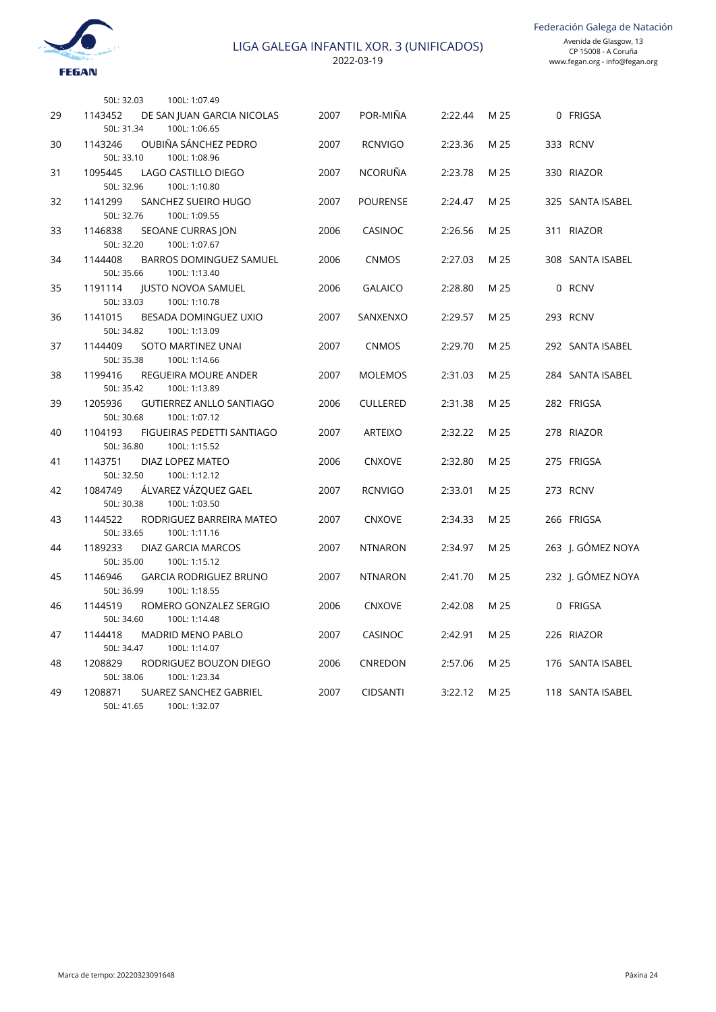Federación Galega de Natación



2022-03-19

|    | 100L: 1:07.49<br>50L: 32.03                                               |      |                 |         |      |                   |
|----|---------------------------------------------------------------------------|------|-----------------|---------|------|-------------------|
| 29 | 1143452<br>DE SAN JUAN GARCIA NICOLAS<br>50L: 31.34<br>100L: 1:06.65      | 2007 | POR-MIÑA        | 2:22.44 | M 25 | 0 FRIGSA          |
| 30 | OUBIÑA SÁNCHEZ PEDRO<br>1143246<br>100L: 1:08.96<br>50L: 33.10            | 2007 | <b>RCNVIGO</b>  | 2:23.36 | M 25 | 333 RCNV          |
| 31 | 1095445<br>LAGO CASTILLO DIEGO<br>50L: 32.96<br>100L: 1:10.80             | 2007 | <b>NCORUÑA</b>  | 2:23.78 | M 25 | 330 RIAZOR        |
| 32 | 1141299<br>SANCHEZ SUEIRO HUGO<br>50L: 32.76<br>100L: 1:09.55             | 2007 | <b>POURENSE</b> | 2:24.47 | M 25 | 325 SANTA ISABEL  |
| 33 | 1146838<br>SEOANE CURRAS JON<br>100L: 1:07.67<br>50L: 32.20               | 2006 | CASINOC         | 2:26.56 | M 25 | 311 RIAZOR        |
| 34 | 1144408<br><b>BARROS DOMINGUEZ SAMUEL</b><br>50L: 35.66<br>100L: 1:13.40  | 2006 | <b>CNMOS</b>    | 2:27.03 | M 25 | 308 SANTA ISABEL  |
| 35 | 1191114<br><b>JUSTO NOVOA SAMUEL</b><br>100L: 1:10.78<br>50L: 33.03       | 2006 | <b>GALAICO</b>  | 2:28.80 | M 25 | 0 RCNV            |
| 36 | 1141015<br>BESADA DOMINGUEZ UXIO<br>50L: 34.82<br>100L: 1:13.09           | 2007 | SANXENXO        | 2:29.57 | M 25 | 293 RCNV          |
| 37 | 1144409<br>SOTO MARTINEZ UNAI<br>50L: 35.38<br>100L: 1:14.66              | 2007 | <b>CNMOS</b>    | 2:29.70 | M 25 | 292 SANTA ISABEL  |
| 38 | 1199416<br>REGUEIRA MOURE ANDER<br>50L: 35.42<br>100L: 1:13.89            | 2007 | <b>MOLEMOS</b>  | 2:31.03 | M 25 | 284 SANTA ISABEL  |
| 39 | 1205936<br><b>GUTIERREZ ANLLO SANTIAGO</b><br>50L: 30.68<br>100L: 1:07.12 | 2006 | <b>CULLERED</b> | 2:31.38 | M 25 | 282 FRIGSA        |
| 40 | 1104193<br>FIGUEIRAS PEDETTI SANTIAGO<br>50L: 36.80<br>100L: 1:15.52      | 2007 | <b>ARTEIXO</b>  | 2:32.22 | M 25 | 278 RIAZOR        |
| 41 | 1143751<br>DIAZ LOPEZ MATEO<br>100L: 1:12.12<br>50L: 32.50                | 2006 | <b>CNXOVE</b>   | 2:32.80 | M 25 | 275 FRIGSA        |
| 42 | ÁLVAREZ VÁZQUEZ GAEL<br>1084749<br>50L: 30.38<br>100L: 1:03.50            | 2007 | <b>RCNVIGO</b>  | 2:33.01 | M 25 | 273 RCNV          |
| 43 | 1144522<br>RODRIGUEZ BARREIRA MATEO<br>50L: 33.65<br>100L: 1:11.16        | 2007 | <b>CNXOVE</b>   | 2:34.33 | M 25 | 266 FRIGSA        |
| 44 | 1189233<br>DIAZ GARCIA MARCOS<br>50L: 35.00<br>100L: 1:15.12              | 2007 | <b>NTNARON</b>  | 2:34.97 | M 25 | 263 J. GÓMEZ NOYA |
| 45 | 1146946<br><b>GARCIA RODRIGUEZ BRUNO</b><br>50L: 36.99<br>100L: 1:18.55   | 2007 | <b>NTNARON</b>  | 2:41.70 | M 25 | 232 J. GÓMEZ NOYA |
| 46 | 1144519<br>ROMERO GONZALEZ SERGIO<br>50L: 34.60<br>100L: 1:14.48          | 2006 | <b>CNXOVE</b>   | 2:42.08 | M 25 | 0 FRIGSA          |
| 47 | 1144418<br><b>MADRID MENO PABLO</b><br>50L: 34.47<br>100L: 1:14.07        | 2007 | CASINOC         | 2:42.91 | M 25 | 226 RIAZOR        |
| 48 | 1208829<br>RODRIGUEZ BOUZON DIEGO<br>50L: 38.06<br>100L: 1:23.34          | 2006 | CNREDON         | 2:57.06 | M 25 | 176 SANTA ISABEL  |
| 49 | 1208871<br><b>SUAREZ SANCHEZ GABRIEL</b><br>50L: 41.65<br>100L: 1:32.07   | 2007 | <b>CIDSANTI</b> | 3:22.12 | M 25 | 118 SANTA ISABEL  |